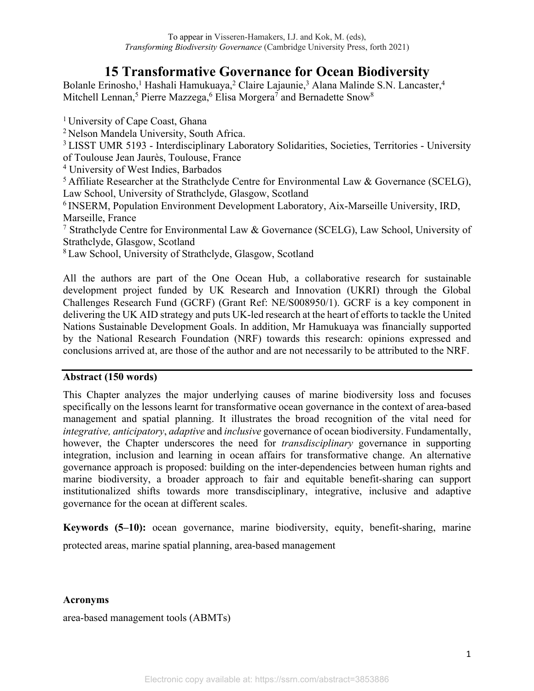# **15 Transformative Governance for Ocean Biodiversity**

Bolanle Erinosho,<sup>1</sup> Hashali Hamukuaya,<sup>2</sup> Claire Lajaunie,<sup>3</sup> Alana Malinde S.N. Lancaster,<sup>4</sup> Mitchell Lennan,<sup>5</sup> Pierre Mazzega,<sup>6</sup> Elisa Morgera<sup>7</sup> and Bernadette Snow<sup>8</sup>

<sup>1</sup> University of Cape Coast, Ghana

<sup>2</sup>Nelson Mandela University, South Africa.

<sup>3</sup> LISST UMR 5193 - Interdisciplinary Laboratory Solidarities, Societies, Territories - University of Toulouse Jean Jaurès, Toulouse, France

4 University of West Indies, Barbados

<sup>5</sup>Affiliate Researcher at the Strathclyde Centre for Environmental Law & Governance (SCELG), Law School, University of Strathclyde, Glasgow, Scotland

<sup>6</sup> INSERM, Population Environment Development Laboratory, Aix-Marseille University, IRD, Marseille, France

<sup>7</sup> Strathclyde Centre for Environmental Law & Governance (SCELG), Law School, University of Strathclyde, Glasgow, Scotland

<sup>8</sup>Law School, University of Strathclyde, Glasgow, Scotland

All the authors are part of the One Ocean Hub, a collaborative research for sustainable development project funded by UK Research and Innovation (UKRI) through the Global Challenges Research Fund (GCRF) (Grant Ref: NE/S008950/1). GCRF is a key component in delivering the UK AID strategy and puts UK-led research at the heart of efforts to tackle the United Nations Sustainable Development Goals. In addition, Mr Hamukuaya was financially supported by the National Research Foundation (NRF) towards this research: opinions expressed and conclusions arrived at, are those of the author and are not necessarily to be attributed to the NRF.

# **Abstract (150 words)**

This Chapter analyzes the major underlying causes of marine biodiversity loss and focuses specifically on the lessons learnt for transformative ocean governance in the context of area-based management and spatial planning. It illustrates the broad recognition of the vital need for *integrative, anticipatory*, *adaptive* and *inclusive* governance of ocean biodiversity. Fundamentally, however, the Chapter underscores the need for *transdisciplinary* governance in supporting integration, inclusion and learning in ocean affairs for transformative change. An alternative governance approach is proposed: building on the inter-dependencies between human rights and marine biodiversity, a broader approach to fair and equitable benefit-sharing can support institutionalized shifts towards more transdisciplinary, integrative, inclusive and adaptive governance for the ocean at different scales.

**Keywords (5–10):** ocean governance, marine biodiversity, equity, benefit-sharing, marine protected areas, marine spatial planning, area-based management

## **Acronyms**

area-based management tools (ABMTs)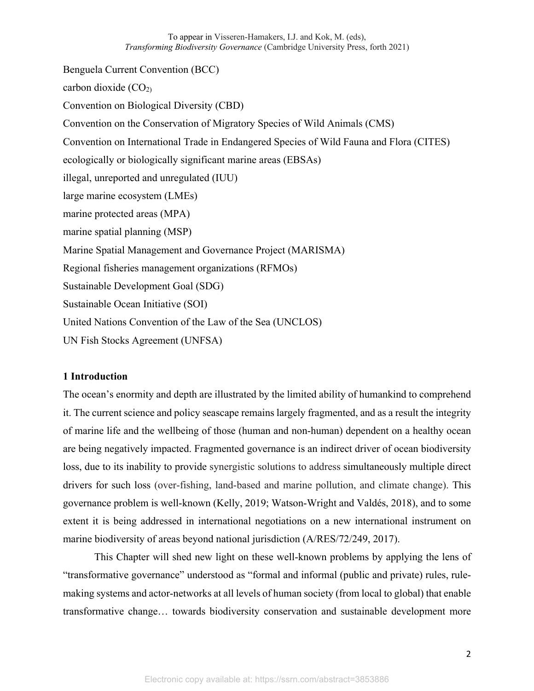Benguela Current Convention (BCC) carbon dioxide  $(CO<sub>2</sub>)$ Convention on Biological Diversity (CBD) Convention on the Conservation of Migratory Species of Wild Animals (CMS) Convention on International Trade in Endangered Species of Wild Fauna and Flora (CITES) ecologically or biologically significant marine areas (EBSAs) illegal, unreported and unregulated (IUU) large marine ecosystem (LMEs) marine protected areas (MPA) marine spatial planning (MSP) Marine Spatial Management and Governance Project (MARISMA) Regional fisheries management organizations (RFMOs) Sustainable Development Goal (SDG) Sustainable Ocean Initiative (SOI) United Nations Convention of the Law of the Sea (UNCLOS) UN Fish Stocks Agreement (UNFSA)

#### **1 Introduction**

The ocean's enormity and depth are illustrated by the limited ability of humankind to comprehend it. The current science and policy seascape remains largely fragmented, and as a result the integrity of marine life and the wellbeing of those (human and non-human) dependent on a healthy ocean are being negatively impacted. Fragmented governance is an indirect driver of ocean biodiversity loss, due to its inability to provide synergistic solutions to address simultaneously multiple direct drivers for such loss (over-fishing, land-based and marine pollution, and climate change). This governance problem is well-known (Kelly, 2019; Watson-Wright and Valdés, 2018), and to some extent it is being addressed in international negotiations on a new international instrument on marine biodiversity of areas beyond national jurisdiction (A/RES/72/249, 2017).

This Chapter will shed new light on these well-known problems by applying the lens of "transformative governance" understood as "formal and informal (public and private) rules, rulemaking systems and actor-networks at all levels of human society (from local to global) that enable transformative change… towards biodiversity conservation and sustainable development more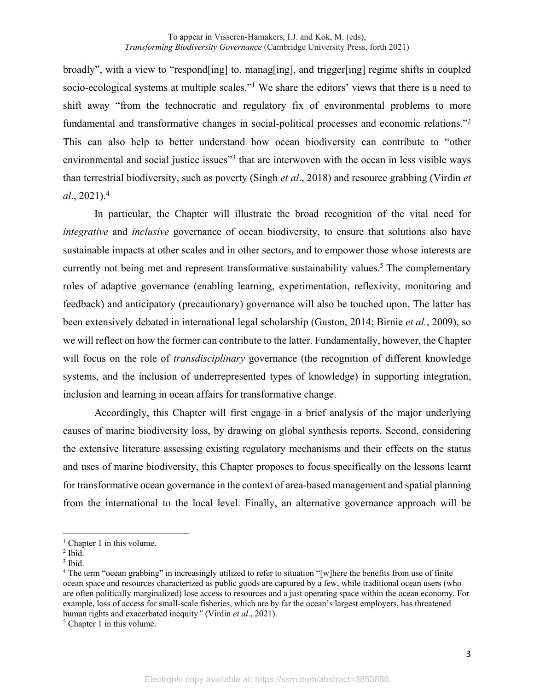broadly", with a view to "respond[ing] to, manag[ing], and trigger[ing] regime shifts in coupled socio-ecological systems at multiple scales."<sup>1</sup> We share the editors' views that there is a need to shift away "from the technocratic and regulatory fix of environmental problems to more fundamental and transformative changes in social-political processes and economic relations."<sup>2</sup> This can also help to better understand how ocean biodiversity can contribute to "other environmental and social justice issues"<sup>3</sup> that are interwoven with the ocean in less visible ways than terrestrial biodiversity, such as poverty (Singh *et al*., 2018) and resource grabbing (Virdin *et al*., 2021).<sup>4</sup>

In particular, the Chapter will illustrate the broad recognition of the vital need for *integrative* and *inclusive* governance of ocean biodiversity, to ensure that solutions also have sustainable impacts at other scales and in other sectors, and to empower those whose interests are currently not being met and represent transformative sustainability values.<sup>5</sup> The complementary roles of adaptive governance (enabling learning, experimentation, reflexivity, monitoring and feedback) and anticipatory (precautionary) governance will also be touched upon. The latter has been extensively debated in international legal scholarship (Guston, 2014; Birnie *et al.*, 2009), so we will reflect on how the former can contribute to the latter. Fundamentally, however, the Chapter will focus on the role of *transdisciplinary* governance (the recognition of different knowledge systems, and the inclusion of underrepresented types of knowledge) in supporting integration, inclusion and learning in ocean affairs for transformative change.

Accordingly, this Chapter will first engage in a brief analysis of the major underlying causes of marine biodiversity loss, by drawing on global synthesis reports. Second, considering the extensive literature assessing existing regulatory mechanisms and their effects on the status and uses of marine biodiversity, this Chapter proposes to focus specifically on the lessons learnt for transformative ocean governance in the context of area-based management and spatial planning from the international to the local level. Finally, an alternative governance approach will be

 $<sup>1</sup>$  Chapter 1 in this volume.</sup>

 $<sup>2</sup>$  Ibid.</sup>

<sup>3</sup> Ibid.

<sup>4</sup> The term "ocean grabbing" in increasingly utilized to refer to situation "[w]here the benefits from use of finite ocean space and resources characterized as public goods are captured by a few, while traditional ocean users (who are often politically marginalized) lose access to resources and a just operating space within the ocean economy. For example, loss of access for small-scale fisheries, which are by far the ocean's largest employers, has threatened human rights and exacerbated inequity*"* (Virdin *et al*., 2021).

<sup>&</sup>lt;sup>5</sup> Chapter 1 in this volume.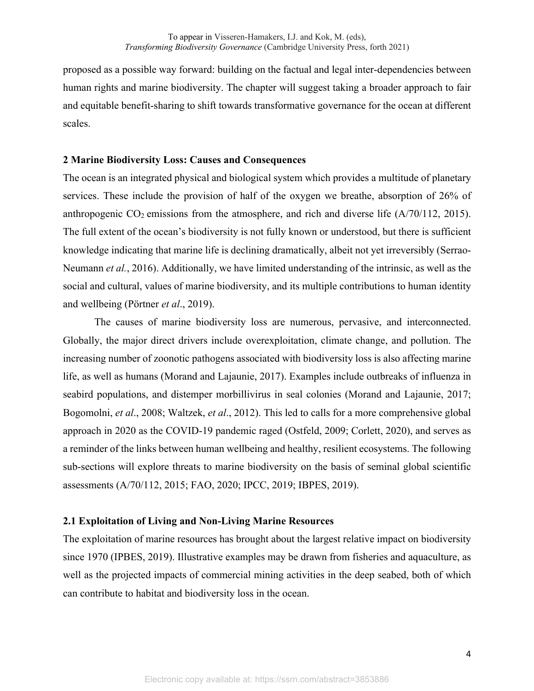proposed as a possible way forward: building on the factual and legal inter-dependencies between human rights and marine biodiversity. The chapter will suggest taking a broader approach to fair and equitable benefit-sharing to shift towards transformative governance for the ocean at different scales.

## **2 Marine Biodiversity Loss: Causes and Consequences**

The ocean is an integrated physical and biological system which provides a multitude of planetary services. These include the provision of half of the oxygen we breathe, absorption of 26% of anthropogenic  $CO_2$  emissions from the atmosphere, and rich and diverse life ( $A/70/112$ , 2015). The full extent of the ocean's biodiversity is not fully known or understood, but there is sufficient knowledge indicating that marine life is declining dramatically, albeit not yet irreversibly (Serrao-Neumann *et al.*, 2016). Additionally, we have limited understanding of the intrinsic, as well as the social and cultural, values of marine biodiversity, and its multiple contributions to human identity and wellbeing (Pörtner *et al*., 2019).

The causes of marine biodiversity loss are numerous, pervasive, and interconnected. Globally, the major direct drivers include overexploitation, climate change, and pollution. The increasing number of zoonotic pathogens associated with biodiversity loss is also affecting marine life, as well as humans (Morand and Lajaunie, 2017). Examples include outbreaks of influenza in seabird populations, and distemper morbillivirus in seal colonies (Morand and Lajaunie, 2017; Bogomolni, *et al*., 2008; Waltzek, *et al*., 2012). This led to calls for a more comprehensive global approach in 2020 as the COVID-19 pandemic raged (Ostfeld, 2009; Corlett, 2020), and serves as a reminder of the links between human wellbeing and healthy, resilient ecosystems. The following sub-sections will explore threats to marine biodiversity on the basis of seminal global scientific assessments (A/70/112, 2015; FAO, 2020; IPCC, 2019; IBPES, 2019).

# **2.1 Exploitation of Living and Non-Living Marine Resources**

The exploitation of marine resources has brought about the largest relative impact on biodiversity since 1970 (IPBES, 2019). Illustrative examples may be drawn from fisheries and aquaculture, as well as the projected impacts of commercial mining activities in the deep seabed, both of which can contribute to habitat and biodiversity loss in the ocean.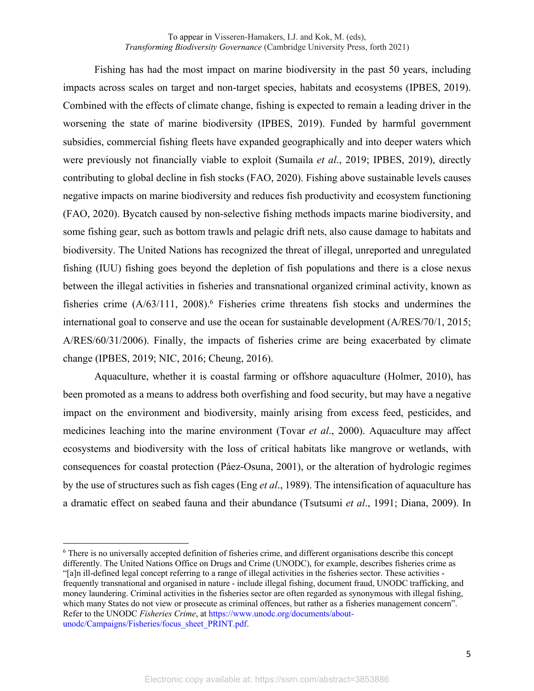Fishing has had the most impact on marine biodiversity in the past 50 years, including impacts across scales on target and non-target species, habitats and ecosystems (IPBES, 2019). Combined with the effects of climate change, fishing is expected to remain a leading driver in the worsening the state of marine biodiversity (IPBES, 2019). Funded by harmful government subsidies, commercial fishing fleets have expanded geographically and into deeper waters which were previously not financially viable to exploit (Sumaila *et al*., 2019; IPBES, 2019), directly contributing to global decline in fish stocks (FAO, 2020). Fishing above sustainable levels causes negative impacts on marine biodiversity and reduces fish productivity and ecosystem functioning (FAO, 2020). Bycatch caused by non-selective fishing methods impacts marine biodiversity, and some fishing gear, such as bottom trawls and pelagic drift nets, also cause damage to habitats and biodiversity. The United Nations has recognized the threat of illegal, unreported and unregulated fishing (IUU) fishing goes beyond the depletion of fish populations and there is a close nexus between the illegal activities in fisheries and transnational organized criminal activity, known as fisheries crime  $(A/63/111, 2008)$ .<sup>6</sup> Fisheries crime threatens fish stocks and undermines the international goal to conserve and use the ocean for sustainable development (A/RES/70/1, 2015; A/RES/60/31/2006). Finally, the impacts of fisheries crime are being exacerbated by climate change (IPBES, 2019; NIC, 2016; Cheung, 2016).

Aquaculture, whether it is coastal farming or offshore aquaculture (Holmer, 2010), has been promoted as a means to address both overfishing and food security, but may have a negative impact on the environment and biodiversity, mainly arising from excess feed, pesticides, and medicines leaching into the marine environment (Tovar *et al*., 2000). Aquaculture may affect ecosystems and biodiversity with the loss of critical habitats like mangrove or wetlands, with consequences for coastal protection (Páez-Osuna, 2001), or the alteration of hydrologic regimes by the use of structures such as fish cages (Eng *et al*., 1989). The intensification of aquaculture has a dramatic effect on seabed fauna and their abundance (Tsutsumi *et al*., 1991; Diana, 2009). In

<sup>6</sup> There is no universally accepted definition of fisheries crime, and different organisations describe this concept differently. The United Nations Office on Drugs and Crime (UNODC), for example, describes fisheries crime as "[a]n ill-defined legal concept referring to a range of illegal activities in the fisheries sector. These activities frequently transnational and organised in nature - include illegal fishing, document fraud, UNODC trafficking, and money laundering. Criminal activities in the fisheries sector are often regarded as synonymous with illegal fishing, which many States do not view or prosecute as criminal offences, but rather as a fisheries management concern". Refer to the UNODC *Fisheries Crime*, at https://www.unodc.org/documents/aboutunodc/Campaigns/Fisheries/focus\_sheet\_PRINT.pdf.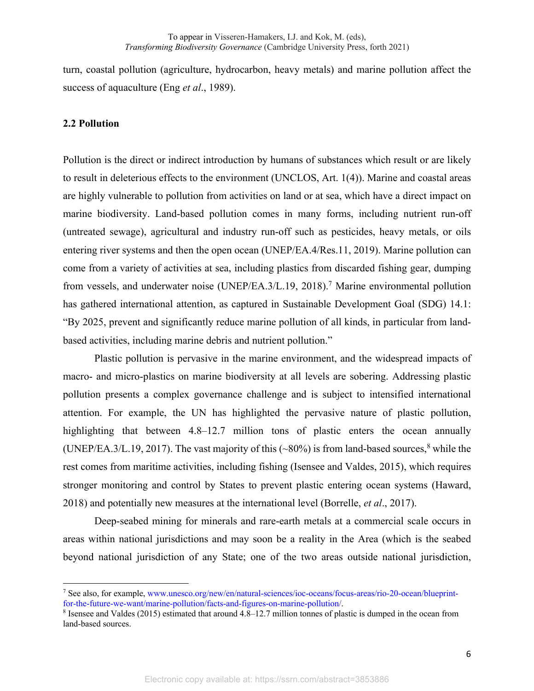turn, coastal pollution (agriculture, hydrocarbon, heavy metals) and marine pollution affect the success of aquaculture (Eng *et al*., 1989).

#### **2.2 Pollution**

Pollution is the direct or indirect introduction by humans of substances which result or are likely to result in deleterious effects to the environment (UNCLOS, Art. 1(4)). Marine and coastal areas are highly vulnerable to pollution from activities on land or at sea, which have a direct impact on marine biodiversity. Land-based pollution comes in many forms, including nutrient run-off (untreated sewage), agricultural and industry run-off such as pesticides, heavy metals, or oils entering river systems and then the open ocean (UNEP/EA.4/Res.11, 2019). Marine pollution can come from a variety of activities at sea, including plastics from discarded fishing gear, dumping from vessels, and underwater noise (UNEP/EA.3/L.19, 2018).<sup>7</sup> Marine environmental pollution has gathered international attention, as captured in Sustainable Development Goal (SDG) 14.1: "By 2025, prevent and significantly reduce marine pollution of all kinds, in particular from landbased activities, including marine debris and nutrient pollution."

Plastic pollution is pervasive in the marine environment, and the widespread impacts of macro- and micro-plastics on marine biodiversity at all levels are sobering. Addressing plastic pollution presents a complex governance challenge and is subject to intensified international attention. For example, the UN has highlighted the pervasive nature of plastic pollution, highlighting that between 4.8–12.7 million tons of plastic enters the ocean annually (UNEP/EA.3/L.19, 2017). The vast majority of this  $(\sim 80\%)$  is from land-based sources, while the rest comes from maritime activities, including fishing (Isensee and Valdes, 2015), which requires stronger monitoring and control by States to prevent plastic entering ocean systems (Haward, 2018) and potentially new measures at the international level (Borrelle, *et al*., 2017).

Deep-seabed mining for minerals and rare-earth metals at a commercial scale occurs in areas within national jurisdictions and may soon be a reality in the Area (which is the seabed beyond national jurisdiction of any State; one of the two areas outside national jurisdiction,

<sup>7</sup> See also, for example, www.unesco.org/new/en/natural-sciences/ioc-oceans/focus-areas/rio-20-ocean/blueprintfor-the-future-we-want/marine-pollution/facts-and-figures-on-marine-pollution/.

<sup>8</sup> Isensee and Valdes (2015) estimated that around 4.8–12.7 million tonnes of plastic is dumped in the ocean from land-based sources.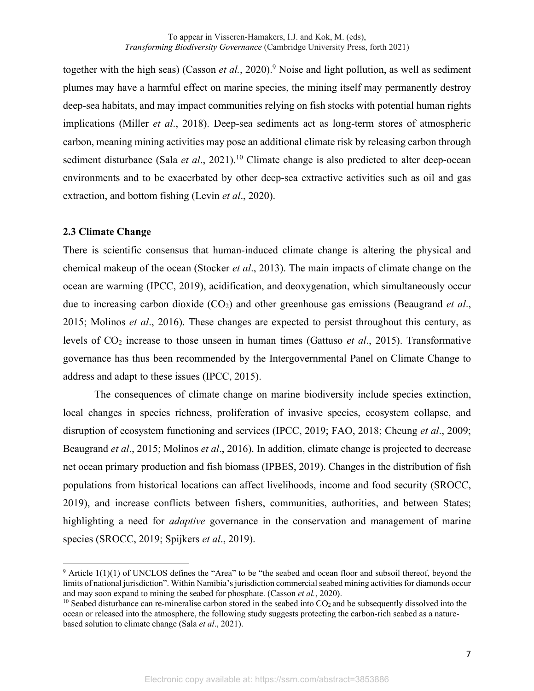together with the high seas) (Casson *et al.*, 2020).<sup>9</sup> Noise and light pollution, as well as sediment plumes may have a harmful effect on marine species, the mining itself may permanently destroy deep-sea habitats, and may impact communities relying on fish stocks with potential human rights implications (Miller *et al*., 2018). Deep-sea sediments act as long-term stores of atmospheric carbon, meaning mining activities may pose an additional climate risk by releasing carbon through sediment disturbance (Sala *et al.*, 2021).<sup>10</sup> Climate change is also predicted to alter deep-ocean environments and to be exacerbated by other deep-sea extractive activities such as oil and gas extraction, and bottom fishing (Levin *et al*., 2020).

#### **2.3 Climate Change**

There is scientific consensus that human-induced climate change is altering the physical and chemical makeup of the ocean (Stocker *et al*., 2013). The main impacts of climate change on the ocean are warming (IPCC, 2019), acidification, and deoxygenation, which simultaneously occur due to increasing carbon dioxide (CO2) and other greenhouse gas emissions (Beaugrand *et al*., 2015; Molinos *et al*., 2016). These changes are expected to persist throughout this century, as levels of CO2 increase to those unseen in human times (Gattuso *et al*., 2015). Transformative governance has thus been recommended by the Intergovernmental Panel on Climate Change to address and adapt to these issues (IPCC, 2015).

The consequences of climate change on marine biodiversity include species extinction, local changes in species richness, proliferation of invasive species, ecosystem collapse, and disruption of ecosystem functioning and services (IPCC, 2019; FAO, 2018; Cheung *et al*., 2009; Beaugrand *et al*., 2015; Molinos *et al*., 2016). In addition, climate change is projected to decrease net ocean primary production and fish biomass (IPBES, 2019). Changes in the distribution of fish populations from historical locations can affect livelihoods, income and food security (SROCC, 2019), and increase conflicts between fishers, communities, authorities, and between States; highlighting a need for *adaptive* governance in the conservation and management of marine species (SROCC, 2019; Spijkers *et al*., 2019).

 $9$  Article 1(1)(1) of UNCLOS defines the "Area" to be "the seabed and ocean floor and subsoil thereof, beyond the limits of national jurisdiction". Within Namibia's jurisdiction commercial seabed mining activities for diamonds occur and may soon expand to mining the seabed for phosphate. (Casson *et al.*, 2020).

 $10$  Seabed disturbance can re-mineralise carbon stored in the seabed into  $CO<sub>2</sub>$  and be subsequently dissolved into the ocean or released into the atmosphere, the following study suggests protecting the carbon-rich seabed as a naturebased solution to climate change (Sala *et al*., 2021).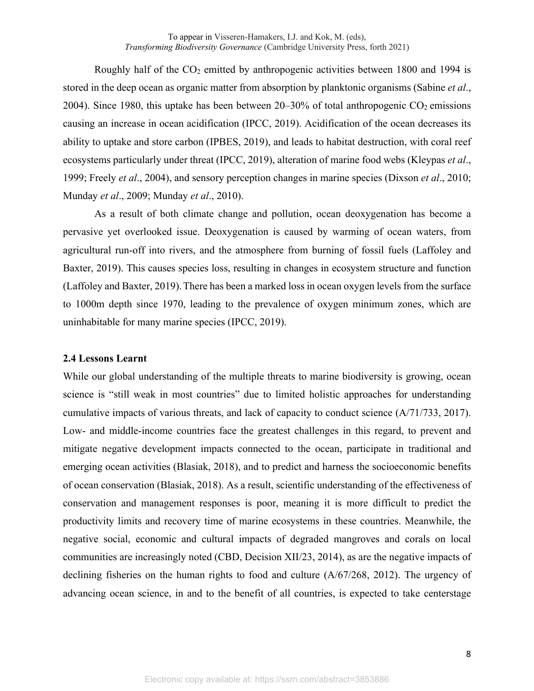Roughly half of the  $CO<sub>2</sub>$  emitted by anthropogenic activities between 1800 and 1994 is stored in the deep ocean as organic matter from absorption by planktonic organisms (Sabine *et al*., 2004). Since 1980, this uptake has been between  $20-30\%$  of total anthropogenic  $CO<sub>2</sub>$  emissions causing an increase in ocean acidification (IPCC, 2019). Acidification of the ocean decreases its ability to uptake and store carbon (IPBES, 2019), and leads to habitat destruction, with coral reef ecosystems particularly under threat (IPCC, 2019), alteration of marine food webs (Kleypas *et al*., 1999; Freely *et al*., 2004), and sensory perception changes in marine species (Dixson *et al*., 2010; Munday *et al*., 2009; Munday *et al*., 2010).

As a result of both climate change and pollution, ocean deoxygenation has become a pervasive yet overlooked issue. Deoxygenation is caused by warming of ocean waters, from agricultural run-off into rivers, and the atmosphere from burning of fossil fuels (Laffoley and Baxter, 2019). This causes species loss, resulting in changes in ecosystem structure and function (Laffoley and Baxter, 2019).There has been a marked loss in ocean oxygen levels from the surface to 1000m depth since 1970, leading to the prevalence of oxygen minimum zones, which are uninhabitable for many marine species (IPCC, 2019).

#### **2.4 Lessons Learnt**

While our global understanding of the multiple threats to marine biodiversity is growing, ocean science is "still weak in most countries" due to limited holistic approaches for understanding cumulative impacts of various threats, and lack of capacity to conduct science (A/71/733, 2017). Low- and middle-income countries face the greatest challenges in this regard, to prevent and mitigate negative development impacts connected to the ocean, participate in traditional and emerging ocean activities (Blasiak, 2018), and to predict and harness the socioeconomic benefits of ocean conservation (Blasiak, 2018). As a result, scientific understanding of the effectiveness of conservation and management responses is poor, meaning it is more difficult to predict the productivity limits and recovery time of marine ecosystems in these countries. Meanwhile, the negative social, economic and cultural impacts of degraded mangroves and corals on local communities are increasingly noted (CBD, Decision XII/23, 2014), as are the negative impacts of declining fisheries on the human rights to food and culture (A/67/268, 2012). The urgency of advancing ocean science, in and to the benefit of all countries, is expected to take centerstage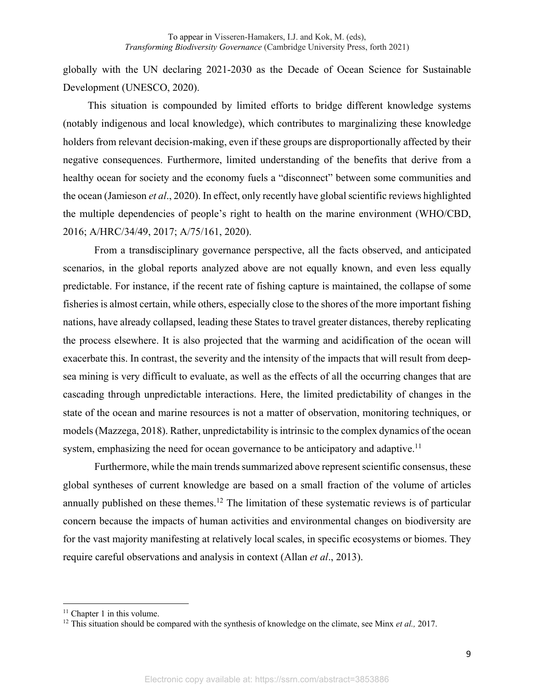globally with the UN declaring 2021-2030 as the Decade of Ocean Science for Sustainable Development (UNESCO, 2020).

This situation is compounded by limited efforts to bridge different knowledge systems (notably indigenous and local knowledge), which contributes to marginalizing these knowledge holders from relevant decision-making, even if these groups are disproportionally affected by their negative consequences. Furthermore, limited understanding of the benefits that derive from a healthy ocean for society and the economy fuels a "disconnect" between some communities and the ocean (Jamieson *et al*., 2020). In effect, only recently have global scientific reviews highlighted the multiple dependencies of people's right to health on the marine environment (WHO/CBD, 2016; A/HRC/34/49, 2017; A/75/161, 2020).

From a transdisciplinary governance perspective, all the facts observed, and anticipated scenarios, in the global reports analyzed above are not equally known, and even less equally predictable. For instance, if the recent rate of fishing capture is maintained, the collapse of some fisheries is almost certain, while others, especially close to the shores of the more important fishing nations, have already collapsed, leading these States to travel greater distances, thereby replicating the process elsewhere. It is also projected that the warming and acidification of the ocean will exacerbate this. In contrast, the severity and the intensity of the impacts that will result from deepsea mining is very difficult to evaluate, as well as the effects of all the occurring changes that are cascading through unpredictable interactions. Here, the limited predictability of changes in the state of the ocean and marine resources is not a matter of observation, monitoring techniques, or models (Mazzega, 2018). Rather, unpredictability is intrinsic to the complex dynamics of the ocean system, emphasizing the need for ocean governance to be anticipatory and adaptive.<sup>11</sup>

Furthermore, while the main trends summarized above represent scientific consensus, these global syntheses of current knowledge are based on a small fraction of the volume of articles annually published on these themes.<sup>12</sup> The limitation of these systematic reviews is of particular concern because the impacts of human activities and environmental changes on biodiversity are for the vast majority manifesting at relatively local scales, in specific ecosystems or biomes. They require careful observations and analysis in context (Allan *et al*., 2013).

<sup>&</sup>lt;sup>11</sup> Chapter 1 in this volume.

<sup>12</sup> This situation should be compared with the synthesis of knowledge on the climate, see Minx *et al.,* 2017.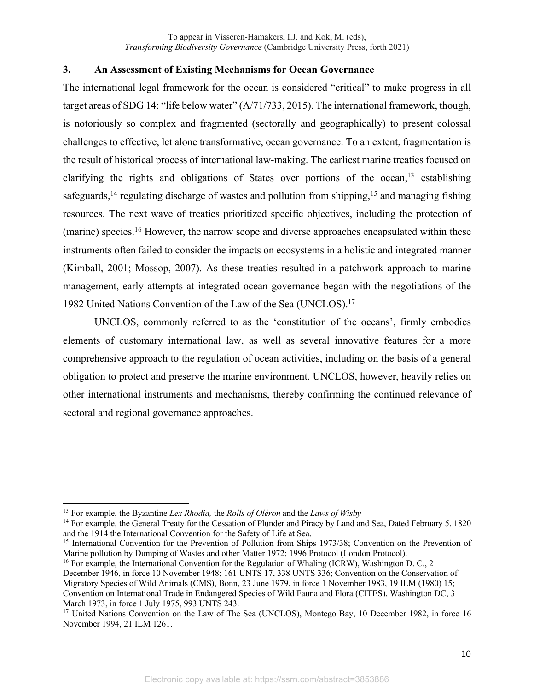## **3. An Assessment of Existing Mechanisms for Ocean Governance**

The international legal framework for the ocean is considered "critical" to make progress in all target areas of SDG 14: "life below water" (A/71/733, 2015). The international framework, though, is notoriously so complex and fragmented (sectorally and geographically) to present colossal challenges to effective, let alone transformative, ocean governance. To an extent, fragmentation is the result of historical process of international law-making. The earliest marine treaties focused on clarifying the rights and obligations of States over portions of the ocean,<sup>13</sup> establishing safeguards,<sup>14</sup> regulating discharge of wastes and pollution from shipping,<sup>15</sup> and managing fishing resources. The next wave of treaties prioritized specific objectives, including the protection of (marine) species.<sup>16</sup> However, the narrow scope and diverse approaches encapsulated within these instruments often failed to consider the impacts on ecosystems in a holistic and integrated manner (Kimball, 2001; Mossop, 2007). As these treaties resulted in a patchwork approach to marine management, early attempts at integrated ocean governance began with the negotiations of the 1982 United Nations Convention of the Law of the Sea (UNCLOS).<sup>17</sup>

UNCLOS, commonly referred to as the 'constitution of the oceans', firmly embodies elements of customary international law, as well as several innovative features for a more comprehensive approach to the regulation of ocean activities, including on the basis of a general obligation to protect and preserve the marine environment. UNCLOS, however, heavily relies on other international instruments and mechanisms, thereby confirming the continued relevance of sectoral and regional governance approaches.

<sup>13</sup> For example, the Byzantine *Lex Rhodia,* the *Rolls of Oléron* and the *Laws of Wisby*

<sup>&</sup>lt;sup>14</sup> For example, the General Treaty for the Cessation of Plunder and Piracy by Land and Sea, Dated February 5, 1820 and the 1914 the International Convention for the Safety of Life at Sea.

<sup>&</sup>lt;sup>15</sup> International Convention for the Prevention of Pollution from Ships 1973/38; Convention on the Prevention of Marine pollution by Dumping of Wastes and other Matter 1972; 1996 Protocol (London Protocol).

<sup>&</sup>lt;sup>16</sup> For example, the International Convention for the Regulation of Whaling (ICRW), Washington D. C., 2 December 1946, in force 10 November 1948; 161 UNTS 17, 338 UNTS 336; Convention on the Conservation of Migratory Species of Wild Animals (CMS), Bonn, 23 June 1979, in force 1 November 1983, 19 ILM (1980) 15; Convention on International Trade in Endangered Species of Wild Fauna and Flora (CITES), Washington DC, 3 March 1973, in force 1 July 1975, 993 UNTS 243.

<sup>&</sup>lt;sup>17</sup> United Nations Convention on the Law of The Sea (UNCLOS), Montego Bay, 10 December 1982, in force 16 November 1994, 21 ILM 1261.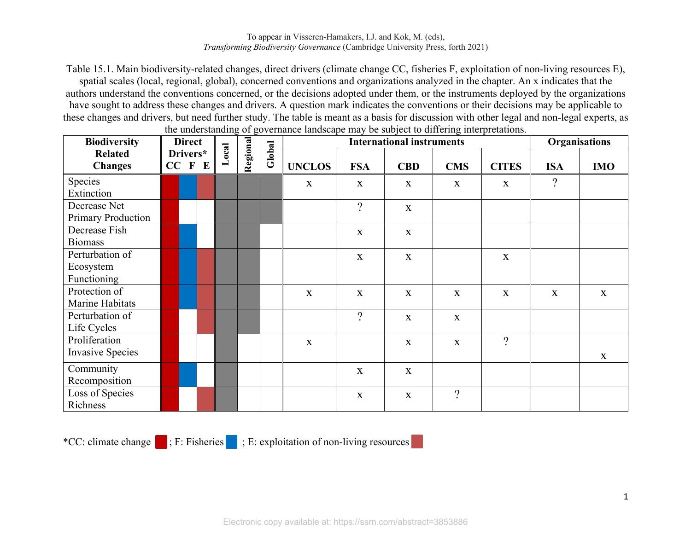Table 15.1. Main biodiversity-related changes, direct drivers (climate change CC, fisheries F, exploitation of non-living resources E), spatial scales (local, regional, global), concerned conventions and organizations analyzed in the chapter. An x indicates that the authors understand the conventions concerned, or the decisions adopted under them, or the instruments deployed by the organizations have sought to address these changes and drivers. A question mark indicates the conventions or their decisions may be applicable to these changes and drivers, but need further study. The table is meant as a basis for discussion with other legal and non-legal experts, as the understanding of governance landscape may be subject to differing interpretations.

| <b>Biodiversity</b>                                | <b>Direct</b><br>Drivers*<br>$CC$ $F$ $E$ |  |  | Local | $\sim$ $\sim$<br>Regional | Global | $S1$ and $S2$ and $S3$ and $S4$ are $S5$ and $S6$ and $S7$ and $S7$ and $S7$ and $S7$ and $S7$ and $S7$ and $S7$ and $S7$ and $S7$<br><b>International instruments</b> |                |              |                |                | Organisations  |             |
|----------------------------------------------------|-------------------------------------------|--|--|-------|---------------------------|--------|------------------------------------------------------------------------------------------------------------------------------------------------------------------------|----------------|--------------|----------------|----------------|----------------|-------------|
| <b>Related</b><br><b>Changes</b>                   |                                           |  |  |       |                           |        | <b>UNCLOS</b>                                                                                                                                                          | <b>FSA</b>     | <b>CBD</b>   | <b>CMS</b>     | <b>CITES</b>   | <b>ISA</b>     | <b>IMO</b>  |
| Species<br>Extinction                              |                                           |  |  |       |                           |        | $\mathbf X$                                                                                                                                                            | $\mathbf{X}$   | $\mathbf X$  | $\mathbf X$    | $\mathbf X$    | $\overline{?}$ |             |
| Decrease Net<br><b>Primary Production</b>          |                                           |  |  |       |                           |        |                                                                                                                                                                        | $\overline{?}$ | $\mathbf X$  |                |                |                |             |
| Decrease Fish<br><b>Biomass</b>                    |                                           |  |  |       |                           |        |                                                                                                                                                                        | $\mathbf X$    | $\mathbf X$  |                |                |                |             |
| Perturbation of<br>Ecosystem<br><b>Functioning</b> |                                           |  |  |       |                           |        |                                                                                                                                                                        | $\mathbf X$    | $\mathbf X$  |                | $\mathbf X$    |                |             |
| Protection of<br>Marine Habitats                   |                                           |  |  |       |                           |        | X                                                                                                                                                                      | $\mathbf X$    | $\mathbf X$  | $\mathbf X$    | $\mathbf X$    | $\mathbf X$    | $\mathbf X$ |
| Perturbation of<br>Life Cycles                     |                                           |  |  |       |                           |        |                                                                                                                                                                        | $\overline{?}$ | $\mathbf X$  | $\mathbf X$    |                |                |             |
| Proliferation<br><b>Invasive Species</b>           |                                           |  |  |       |                           |        | $\mathbf X$                                                                                                                                                            |                | $\mathbf X$  | $\mathbf X$    | $\overline{?}$ |                | $\mathbf X$ |
| Community<br>Recomposition                         |                                           |  |  |       |                           |        |                                                                                                                                                                        | $\mathbf X$    | $\mathbf X$  |                |                |                |             |
| Loss of Species<br>Richness                        |                                           |  |  |       |                           |        |                                                                                                                                                                        | $\mathbf X$    | $\mathbf{X}$ | $\overline{?}$ |                |                |             |

\*CC: climate change ; F: Fisheries ; E: exploitation of non-living resources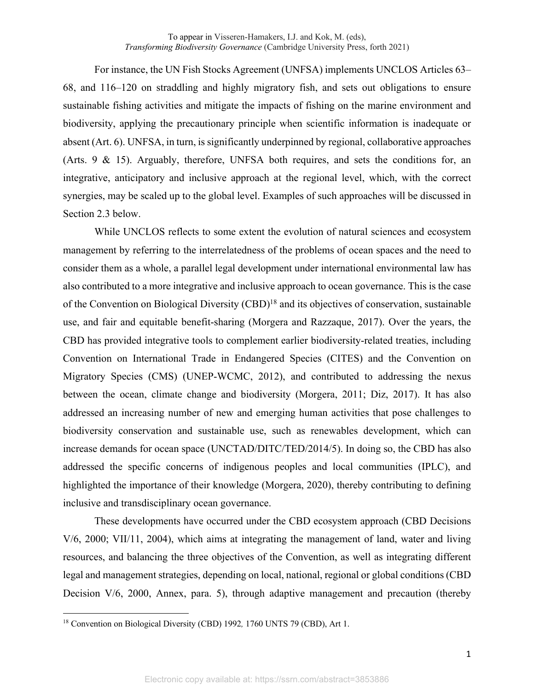For instance, the UN Fish Stocks Agreement (UNFSA) implements UNCLOS Articles 63– 68, and 116–120 on straddling and highly migratory fish, and sets out obligations to ensure sustainable fishing activities and mitigate the impacts of fishing on the marine environment and biodiversity, applying the precautionary principle when scientific information is inadequate or absent (Art. 6). UNFSA, in turn, is significantly underpinned by regional, collaborative approaches (Arts. 9 & 15). Arguably, therefore, UNFSA both requires, and sets the conditions for, an integrative, anticipatory and inclusive approach at the regional level, which, with the correct synergies, may be scaled up to the global level. Examples of such approaches will be discussed in Section 2.3 below.

While UNCLOS reflects to some extent the evolution of natural sciences and ecosystem management by referring to the interrelatedness of the problems of ocean spaces and the need to consider them as a whole, a parallel legal development under international environmental law has also contributed to a more integrative and inclusive approach to ocean governance. This is the case of the Convention on Biological Diversity (CBD)<sup>18</sup> and its objectives of conservation, sustainable use, and fair and equitable benefit-sharing (Morgera and Razzaque, 2017). Over the years, the CBD has provided integrative tools to complement earlier biodiversity-related treaties, including Convention on International Trade in Endangered Species (CITES) and the Convention on Migratory Species (CMS) (UNEP-WCMC, 2012), and contributed to addressing the nexus between the ocean, climate change and biodiversity (Morgera, 2011; Diz, 2017). It has also addressed an increasing number of new and emerging human activities that pose challenges to biodiversity conservation and sustainable use, such as renewables development, which can increase demands for ocean space (UNCTAD/DITC/TED/2014/5). In doing so, the CBD has also addressed the specific concerns of indigenous peoples and local communities (IPLC), and highlighted the importance of their knowledge (Morgera, 2020), thereby contributing to defining inclusive and transdisciplinary ocean governance.

These developments have occurred under the CBD ecosystem approach (CBD Decisions V/6, 2000; VII/11, 2004), which aims at integrating the management of land, water and living resources, and balancing the three objectives of the Convention, as well as integrating different legal and management strategies, depending on local, national, regional or global conditions (CBD Decision V/6, 2000, Annex, para. 5), through adaptive management and precaution (thereby

<sup>18</sup> Convention on Biological Diversity (CBD) 1992*,* 1760 UNTS 79 (CBD), Art 1.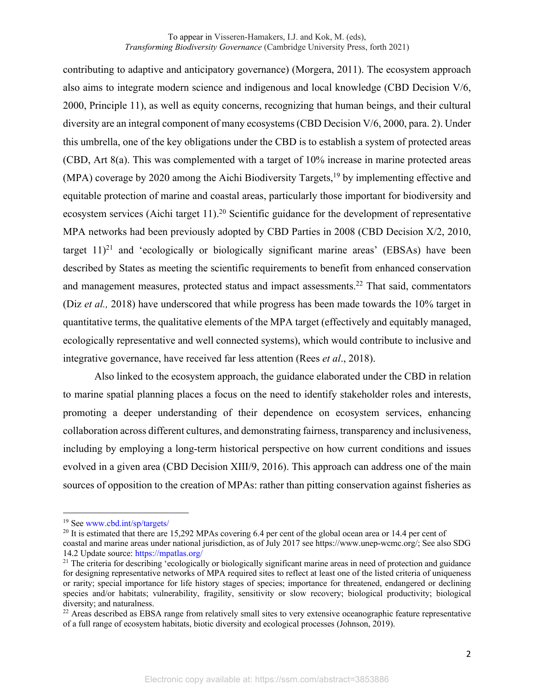contributing to adaptive and anticipatory governance) (Morgera, 2011). The ecosystem approach also aims to integrate modern science and indigenous and local knowledge (CBD Decision V/6, 2000, Principle 11), as well as equity concerns, recognizing that human beings, and their cultural diversity are an integral component of many ecosystems (CBD Decision V/6, 2000, para. 2). Under this umbrella, one of the key obligations under the CBD is to establish a system of protected areas (CBD, Art 8(a). This was complemented with a target of 10% increase in marine protected areas (MPA) coverage by 2020 among the Aichi Biodiversity Targets,<sup>19</sup> by implementing effective and equitable protection of marine and coastal areas, particularly those important for biodiversity and ecosystem services (Aichi target 11).<sup>20</sup> Scientific guidance for the development of representative MPA networks had been previously adopted by CBD Parties in 2008 (CBD Decision X/2, 2010, target  $11$ <sup>21</sup> and 'ecologically or biologically significant marine areas' (EBSAs) have been described by States as meeting the scientific requirements to benefit from enhanced conservation and management measures, protected status and impact assessments.<sup>22</sup> That said, commentators (Diz *et al.,* 2018) have underscored that while progress has been made towards the 10% target in quantitative terms, the qualitative elements of the MPA target (effectively and equitably managed, ecologically representative and well connected systems), which would contribute to inclusive and integrative governance, have received far less attention (Rees *et al*., 2018).

 Also linked to the ecosystem approach, the guidance elaborated under the CBD in relation to marine spatial planning places a focus on the need to identify stakeholder roles and interests, promoting a deeper understanding of their dependence on ecosystem services, enhancing collaboration across different cultures, and demonstrating fairness, transparency and inclusiveness, including by employing a long-term historical perspective on how current conditions and issues evolved in a given area (CBD Decision XIII/9, 2016). This approach can address one of the main sources of opposition to the creation of MPAs: rather than pitting conservation against fisheries as

<sup>19</sup> See www.cbd.int/sp/targets/

<sup>&</sup>lt;sup>20</sup> It is estimated that there are 15,292 MPAs covering 6.4 per cent of the global ocean area or 14.4 per cent of

coastal and marine areas under national jurisdiction, as of July 2017 see https://www.unep-wcmc.org/; See also SDG 14.2 Update source: https://mpatlas.org/

 $21$  The criteria for describing 'ecologically or biologically significant marine areas in need of protection and guidance for designing representative networks of MPA required sites to reflect at least one of the listed criteria of uniqueness or rarity; special importance for life history stages of species; importance for threatened, endangered or declining species and/or habitats; vulnerability, fragility, sensitivity or slow recovery; biological productivity; biological diversity; and naturalness.

<sup>&</sup>lt;sup>22</sup> Areas described as EBSA range from relatively small sites to very extensive oceanographic feature representative of a full range of ecosystem habitats, biotic diversity and ecological processes (Johnson, 2019).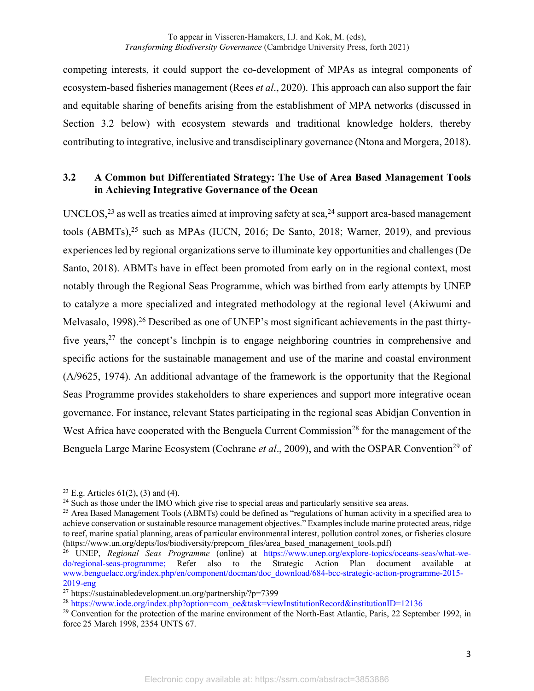competing interests, it could support the co-development of MPAs as integral components of ecosystem-based fisheries management (Rees *et al*., 2020). This approach can also support the fair and equitable sharing of benefits arising from the establishment of MPA networks (discussed in Section 3.2 below) with ecosystem stewards and traditional knowledge holders, thereby contributing to integrative, inclusive and transdisciplinary governance (Ntona and Morgera, 2018).

# **3.2 A Common but Differentiated Strategy: The Use of Area Based Management Tools in Achieving Integrative Governance of the Ocean**

UNCLOS,  $^{23}$  as well as treaties aimed at improving safety at sea,  $^{24}$  support area-based management tools  $(ABMTs)$ ,<sup>25</sup> such as MPAs (IUCN, 2016; De Santo, 2018; Warner, 2019), and previous experiences led by regional organizations serve to illuminate key opportunities and challenges (De Santo, 2018). ABMTs have in effect been promoted from early on in the regional context, most notably through the Regional Seas Programme, which was birthed from early attempts by UNEP to catalyze a more specialized and integrated methodology at the regional level (Akiwumi and Melvasalo, 1998).<sup>26</sup> Described as one of UNEP's most significant achievements in the past thirtyfive years,  $27$  the concept's linchpin is to engage neighboring countries in comprehensive and specific actions for the sustainable management and use of the marine and coastal environment (A/9625, 1974). An additional advantage of the framework is the opportunity that the Regional Seas Programme provides stakeholders to share experiences and support more integrative ocean governance. For instance, relevant States participating in the regional seas Abidjan Convention in West Africa have cooperated with the Benguela Current Commission<sup>28</sup> for the management of the Benguela Large Marine Ecosystem (Cochrane *et al.*, 2009), and with the OSPAR Convention<sup>29</sup> of

<sup>&</sup>lt;sup>23</sup> E.g. Articles  $61(2)$ , (3) and (4).

<sup>&</sup>lt;sup>24</sup> Such as those under the IMO which give rise to special areas and particularly sensitive sea areas.

<sup>&</sup>lt;sup>25</sup> Area Based Management Tools (ABMTs) could be defined as "regulations of human activity in a specified area to achieve conservation or sustainable resource management objectives." Examples include marine protected areas, ridge to reef, marine spatial planning, areas of particular environmental interest, pollution control zones, or fisheries closure (https://www.un.org/depts/los/biodiversity/prepcom\_files/area\_based\_management\_tools.pdf)

<sup>26</sup> UNEP, *Regional Seas Programme* (online) at https://www.unep.org/explore-topics/oceans-seas/what-wedo/regional-seas-programme; Refer also to the Strategic Action Plan document available at www.benguelacc.org/index.php/en/component/docman/doc\_download/684-bcc-strategic-action-programme-2015- 2019-eng

<sup>&</sup>lt;sup>27</sup> https://sustainabledevelopment.un.org/partnership/?p=7399

<sup>&</sup>lt;sup>28</sup> https://www.iode.org/index.php?option=com\_oe&task=viewInstitutionRecord&institutionID=12136

<sup>&</sup>lt;sup>29</sup> Convention for the protection of the marine environment of the North-East Atlantic, Paris, 22 September 1992, in force 25 March 1998, 2354 UNTS 67.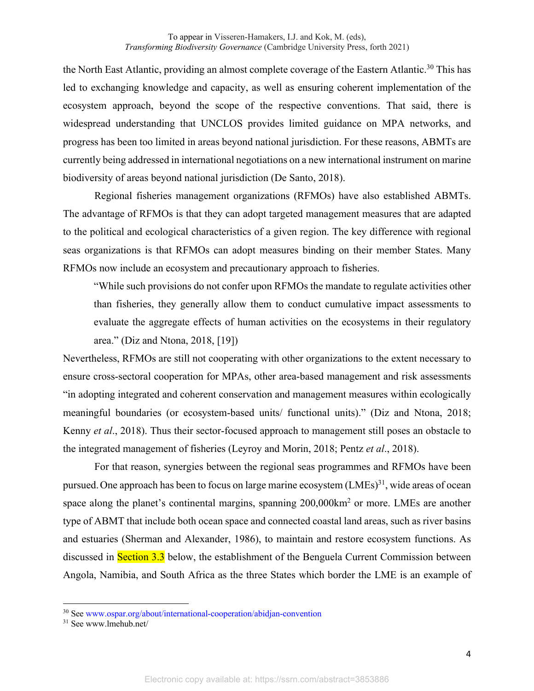the North East Atlantic, providing an almost complete coverage of the Eastern Atlantic.<sup>30</sup> This has led to exchanging knowledge and capacity, as well as ensuring coherent implementation of the ecosystem approach, beyond the scope of the respective conventions. That said, there is widespread understanding that UNCLOS provides limited guidance on MPA networks, and progress has been too limited in areas beyond national jurisdiction. For these reasons, ABMTs are currently being addressed in international negotiations on a new international instrument on marine biodiversity of areas beyond national jurisdiction (De Santo, 2018).

Regional fisheries management organizations (RFMOs) have also established ABMTs. The advantage of RFMOs is that they can adopt targeted management measures that are adapted to the political and ecological characteristics of a given region. The key difference with regional seas organizations is that RFMOs can adopt measures binding on their member States. Many RFMOs now include an ecosystem and precautionary approach to fisheries.

"While such provisions do not confer upon RFMOs the mandate to regulate activities other than fisheries, they generally allow them to conduct cumulative impact assessments to evaluate the aggregate effects of human activities on the ecosystems in their regulatory area." (Diz and Ntona, 2018, [19])

Nevertheless, RFMOs are still not cooperating with other organizations to the extent necessary to ensure cross-sectoral cooperation for MPAs, other area-based management and risk assessments "in adopting integrated and coherent conservation and management measures within ecologically meaningful boundaries (or ecosystem-based units/ functional units)." (Diz and Ntona, 2018; Kenny *et al*., 2018). Thus their sector-focused approach to management still poses an obstacle to the integrated management of fisheries (Leyroy and Morin, 2018; Pentz *et al*., 2018).

For that reason, synergies between the regional seas programmes and RFMOs have been pursued. One approach has been to focus on large marine ecosystem  $(LMEs)^{31}$ , wide areas of ocean space along the planet's continental margins, spanning 200,000km<sup>2</sup> or more. LMEs are another type of ABMT that include both ocean space and connected coastal land areas, such as river basins and estuaries (Sherman and Alexander, 1986), to maintain and restore ecosystem functions. As discussed in **Section 3.3** below, the establishment of the Benguela Current Commission between Angola, Namibia, and South Africa as the three States which border the LME is an example of

<sup>30</sup> See www.ospar.org/about/international-cooperation/abidjan-convention

<sup>31</sup> See www.lmehub.net/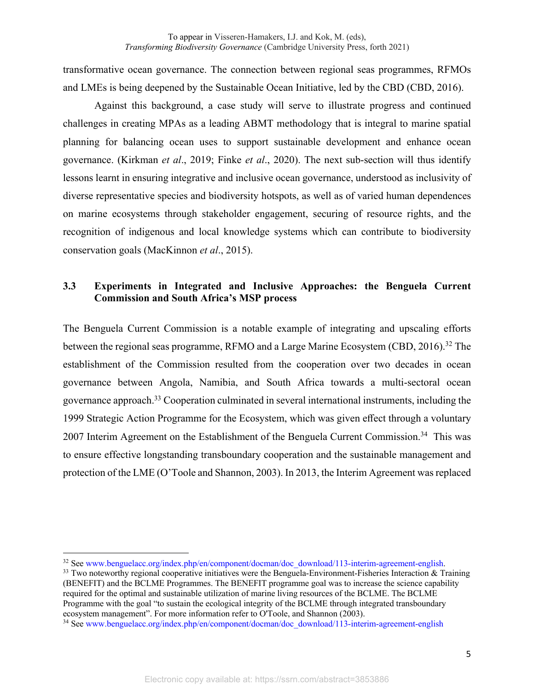transformative ocean governance. The connection between regional seas programmes, RFMOs and LMEs is being deepened by the Sustainable Ocean Initiative, led by the CBD (CBD, 2016).

Against this background, a case study will serve to illustrate progress and continued challenges in creating MPAs as a leading ABMT methodology that is integral to marine spatial planning for balancing ocean uses to support sustainable development and enhance ocean governance. (Kirkman *et al*., 2019; Finke *et al*., 2020). The next sub-section will thus identify lessons learnt in ensuring integrative and inclusive ocean governance, understood as inclusivity of diverse representative species and biodiversity hotspots, as well as of varied human dependences on marine ecosystems through stakeholder engagement, securing of resource rights, and the recognition of indigenous and local knowledge systems which can contribute to biodiversity conservation goals (MacKinnon *et al*., 2015).

# **3.3 Experiments in Integrated and Inclusive Approaches: the Benguela Current Commission and South Africa's MSP process**

The Benguela Current Commission is a notable example of integrating and upscaling efforts between the regional seas programme, RFMO and a Large Marine Ecosystem (CBD, 2016).<sup>32</sup> The establishment of the Commission resulted from the cooperation over two decades in ocean governance between Angola, Namibia, and South Africa towards a multi-sectoral ocean governance approach.<sup>33</sup> Cooperation culminated in several international instruments, including the 1999 Strategic Action Programme for the Ecosystem, which was given effect through a voluntary 2007 Interim Agreement on the Establishment of the Benguela Current Commission.<sup>34</sup> This was to ensure effective longstanding transboundary cooperation and the sustainable management and protection of the LME (O'Toole and Shannon, 2003). In 2013, the Interim Agreement was replaced

<sup>&</sup>lt;sup>32</sup> See www.benguelacc.org/index.php/en/component/docman/doc\_download/113-interim-agreement-english.

 $33$  Two noteworthy regional cooperative initiatives were the Benguela-Environment-Fisheries Interaction  $\&$  Training (BENEFIT) and the BCLME Programmes. The BENEFIT programme goal was to increase the science capability required for the optimal and sustainable utilization of marine living resources of the BCLME. The BCLME Programme with the goal "to sustain the ecological integrity of the BCLME through integrated transboundary ecosystem management". For more information refer to O'Toole, and Shannon (2003).

<sup>&</sup>lt;sup>34</sup> See www.benguelacc.org/index.php/en/component/docman/doc\_download/113-interim-agreement-english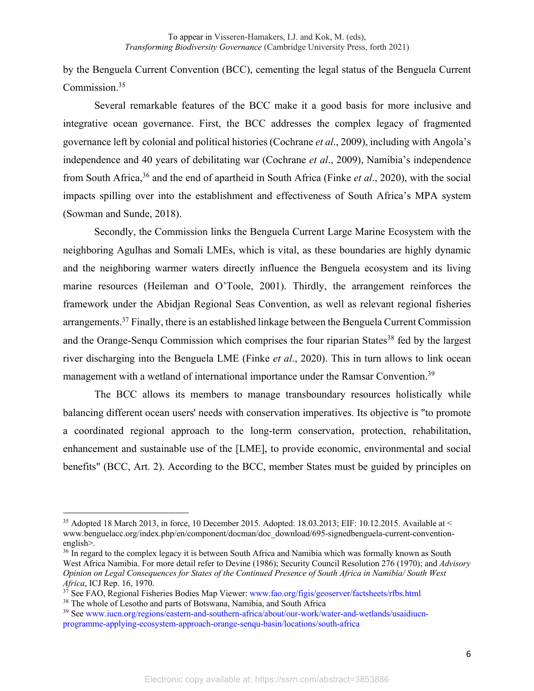by the Benguela Current Convention (BCC), cementing the legal status of the Benguela Current Commission.<sup>35</sup>

Several remarkable features of the BCC make it a good basis for more inclusive and integrative ocean governance. First, the BCC addresses the complex legacy of fragmented governance left by colonial and political histories (Cochrane *et al*., 2009), including with Angola's independence and 40 years of debilitating war (Cochrane *et al*., 2009), Namibia's independence from South Africa,<sup>36</sup> and the end of apartheid in South Africa (Finke *et al*., 2020), with the social impacts spilling over into the establishment and effectiveness of South Africa's MPA system (Sowman and Sunde, 2018).

Secondly, the Commission links the Benguela Current Large Marine Ecosystem with the neighboring Agulhas and Somali LMEs, which is vital, as these boundaries are highly dynamic and the neighboring warmer waters directly influence the Benguela ecosystem and its living marine resources (Heileman and O'Toole, 2001). Thirdly, the arrangement reinforces the framework under the Abidjan Regional Seas Convention, as well as relevant regional fisheries arrangements.<sup>37</sup> Finally, there is an established linkage between the Benguela Current Commission and the Orange-Sengu Commission which comprises the four riparian States<sup>38</sup> fed by the largest river discharging into the Benguela LME (Finke *et al*., 2020). This in turn allows to link ocean management with a wetland of international importance under the Ramsar Convention.<sup>39</sup>

The BCC allows its members to manage transboundary resources holistically while balancing different ocean users' needs with conservation imperatives. Its objective is "to promote a coordinated regional approach to the long-term conservation, protection, rehabilitation, enhancement and sustainable use of the [LME], to provide economic, environmental and social benefits" (BCC, Art. 2). According to the BCC, member States must be guided by principles on

<sup>&</sup>lt;sup>35</sup> Adopted 18 March 2013, in force, 10 December 2015. Adopted: 18.03.2013; EIF: 10.12.2015. Available at < www.benguelacc.org/index.php/en/component/docman/doc\_download/695-signedbenguela-current-conventionenglish>.

<sup>&</sup>lt;sup>36</sup> In regard to the complex legacy it is between South Africa and Namibia which was formally known as South West Africa Namibia. For more detail refer to Devine (1986); Security Council Resolution 276 (1970); and *Advisory Opinion on Legal Consequences for States of the Continued Presence of South Africa in Namibia/ South West Africa*, ICJ Rep. 16, 1970.

 $3^7$  See FAO, Regional Fisheries Bodies Map Viewer: www.fao.org/figis/geoserver/factsheets/rfbs.html <sup>38</sup> The whole of Lesotho and parts of Botswana, Namibia, and South Africa

<sup>&</sup>lt;sup>39</sup> See www.iucn.org/regions/eastern-and-southern-africa/about/our-work/water-and-wetlands/usaidiucnprogramme-applying-ecosystem-approach-orange-senqu-basin/locations/south-africa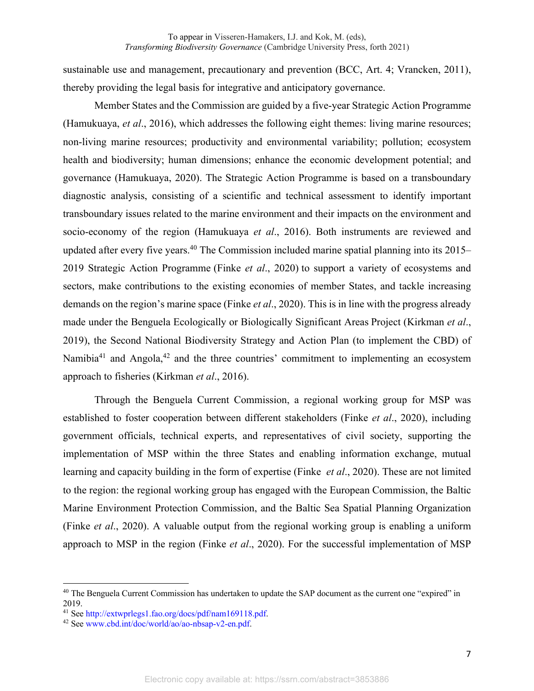sustainable use and management, precautionary and prevention (BCC, Art. 4; Vrancken, 2011), thereby providing the legal basis for integrative and anticipatory governance.

Member States and the Commission are guided by a five-year Strategic Action Programme (Hamukuaya, *et al*., 2016), which addresses the following eight themes: living marine resources; non-living marine resources; productivity and environmental variability; pollution; ecosystem health and biodiversity; human dimensions; enhance the economic development potential; and governance (Hamukuaya, 2020). The Strategic Action Programme is based on a transboundary diagnostic analysis, consisting of a scientific and technical assessment to identify important transboundary issues related to the marine environment and their impacts on the environment and socio-economy of the region (Hamukuaya *et al*., 2016). Both instruments are reviewed and updated after every five years.<sup>40</sup> The Commission included marine spatial planning into its 2015– 2019 Strategic Action Programme (Finke *et al*., 2020) to support a variety of ecosystems and sectors, make contributions to the existing economies of member States, and tackle increasing demands on the region's marine space (Finke *et al*., 2020). This is in line with the progress already made under the Benguela Ecologically or Biologically Significant Areas Project (Kirkman *et al*., 2019), the Second National Biodiversity Strategy and Action Plan (to implement the CBD) of Namibia<sup>41</sup> and Angola,<sup>42</sup> and the three countries' commitment to implementing an ecosystem approach to fisheries (Kirkman *et al*., 2016).

Through the Benguela Current Commission, a regional working group for MSP was established to foster cooperation between different stakeholders (Finke *et al*., 2020), including government officials, technical experts, and representatives of civil society, supporting the implementation of MSP within the three States and enabling information exchange, mutual learning and capacity building in the form of expertise (Finke *et al*., 2020). These are not limited to the region: the regional working group has engaged with the European Commission, the Baltic Marine Environment Protection Commission, and the Baltic Sea Spatial Planning Organization (Finke *et al*., 2020). A valuable output from the regional working group is enabling a uniform approach to MSP in the region (Finke *et al*., 2020). For the successful implementation of MSP

<sup>&</sup>lt;sup>40</sup> The Benguela Current Commission has undertaken to update the SAP document as the current one "expired" in 2019.

<sup>41</sup> See http://extwprlegs1.fao.org/docs/pdf/nam169118.pdf.

<sup>42</sup> See www.cbd.int/doc/world/ao/ao-nbsap-v2-en.pdf.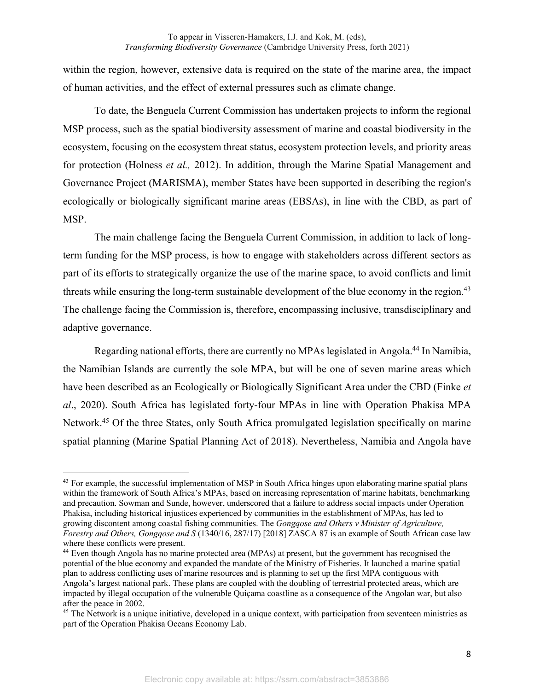within the region, however, extensive data is required on the state of the marine area, the impact of human activities, and the effect of external pressures such as climate change.

To date, the Benguela Current Commission has undertaken projects to inform the regional MSP process, such as the spatial biodiversity assessment of marine and coastal biodiversity in the ecosystem, focusing on the ecosystem threat status, ecosystem protection levels, and priority areas for protection (Holness *et al.,* 2012). In addition, through the Marine Spatial Management and Governance Project (MARISMA), member States have been supported in describing the region's ecologically or biologically significant marine areas (EBSAs), in line with the CBD, as part of MSP.

The main challenge facing the Benguela Current Commission, in addition to lack of longterm funding for the MSP process, is how to engage with stakeholders across different sectors as part of its efforts to strategically organize the use of the marine space, to avoid conflicts and limit threats while ensuring the long-term sustainable development of the blue economy in the region.<sup>43</sup> The challenge facing the Commission is, therefore, encompassing inclusive, transdisciplinary and adaptive governance.

Regarding national efforts, there are currently no MPAs legislated in Angola.<sup>44</sup> In Namibia, the Namibian Islands are currently the sole MPA, but will be one of seven marine areas which have been described as an Ecologically or Biologically Significant Area under the CBD (Finke *et al*., 2020). South Africa has legislated forty-four MPAs in line with Operation Phakisa MPA Network.<sup>45</sup> Of the three States, only South Africa promulgated legislation specifically on marine spatial planning (Marine Spatial Planning Act of 2018). Nevertheless, Namibia and Angola have

<sup>&</sup>lt;sup>43</sup> For example, the successful implementation of MSP in South Africa hinges upon elaborating marine spatial plans within the framework of South Africa's MPAs, based on increasing representation of marine habitats, benchmarking and precaution. Sowman and Sunde, however, underscored that a failure to address social impacts under Operation Phakisa, including historical injustices experienced by communities in the establishment of MPAs, has led to growing discontent among coastal fishing communities. The *Gongqose and Others v Minister of Agriculture, Forestry and Others, Gongqose and S* (1340/16, 287/17) [2018] ZASCA 87 is an example of South African case law where these conflicts were present.

<sup>44</sup> Even though Angola has no marine protected area (MPAs) at present, but the government has recognised the potential of the blue economy and expanded the mandate of the Ministry of Fisheries. It launched a marine spatial plan to address conflicting uses of marine resources and is planning to set up the first MPA contiguous with Angola's largest national park. These plans are coupled with the doubling of terrestrial protected areas, which are impacted by illegal occupation of the vulnerable Quiçama coastline as a consequence of the Angolan war, but also after the peace in 2002.

<sup>&</sup>lt;sup>45</sup> The Network is a unique initiative, developed in a unique context, with participation from seventeen ministries as part of the Operation Phakisa Oceans Economy Lab.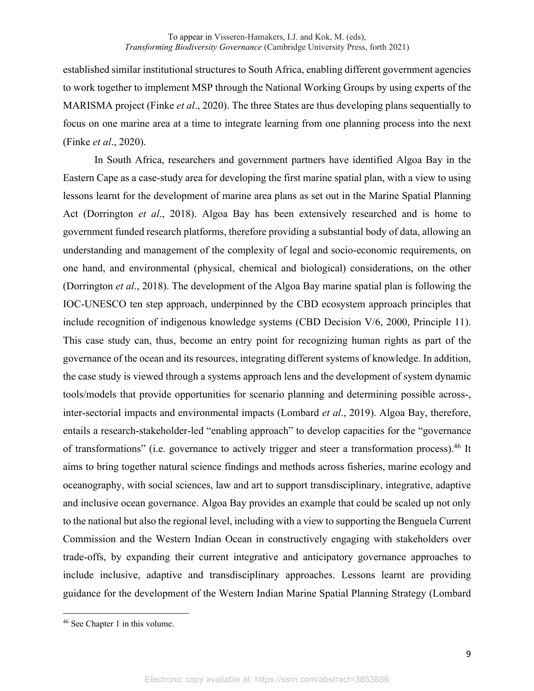established similar institutional structures to South Africa, enabling different government agencies to work together to implement MSP through the National Working Groups by using experts of the MARISMA project (Finke *et al*., 2020). The three States are thus developing plans sequentially to focus on one marine area at a time to integrate learning from one planning process into the next (Finke *et al*., 2020).

In South Africa, researchers and government partners have identified Algoa Bay in the Eastern Cape as a case-study area for developing the first marine spatial plan, with a view to using lessons learnt for the development of marine area plans as set out in the Marine Spatial Planning Act (Dorrington *et al*., 2018). Algoa Bay has been extensively researched and is home to government funded research platforms, therefore providing a substantial body of data, allowing an understanding and management of the complexity of legal and socio-economic requirements, on one hand, and environmental (physical, chemical and biological) considerations, on the other (Dorrington *et al*., 2018). The development of the Algoa Bay marine spatial plan is following the IOC-UNESCO ten step approach, underpinned by the CBD ecosystem approach principles that include recognition of indigenous knowledge systems (CBD Decision V/6, 2000, Principle 11). This case study can, thus, become an entry point for recognizing human rights as part of the governance of the ocean and its resources, integrating different systems of knowledge. In addition, the case study is viewed through a systems approach lens and the development of system dynamic tools/models that provide opportunities for scenario planning and determining possible across-, inter-sectorial impacts and environmental impacts (Lombard *et al*., 2019). Algoa Bay, therefore, entails a research-stakeholder-led "enabling approach" to develop capacities for the "governance of transformations" (i.e. governance to actively trigger and steer a transformation process).<sup>46</sup> It aims to bring together natural science findings and methods across fisheries, marine ecology and oceanography, with social sciences, law and art to support transdisciplinary, integrative, adaptive and inclusive ocean governance. Algoa Bay provides an example that could be scaled up not only to the national but also the regional level, including with a view to supporting the Benguela Current Commission and the Western Indian Ocean in constructively engaging with stakeholders over trade-offs, by expanding their current integrative and anticipatory governance approaches to include inclusive, adaptive and transdisciplinary approaches. Lessons learnt are providing guidance for the development of the Western Indian Marine Spatial Planning Strategy (Lombard

<sup>46</sup> See Chapter 1 in this volume.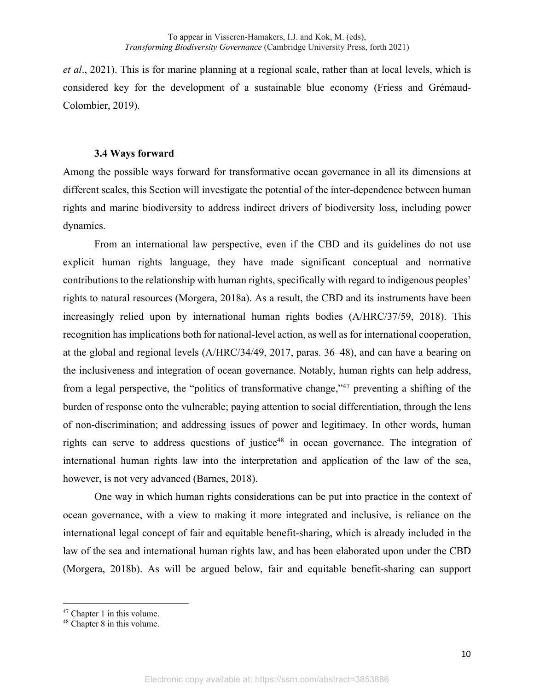*et al*., 2021). This is for marine planning at a regional scale, rather than at local levels, which is considered key for the development of a sustainable blue economy (Friess and Grémaud-Colombier, 2019).

#### **3.4 Ways forward**

Among the possible ways forward for transformative ocean governance in all its dimensions at different scales, this Section will investigate the potential of the inter-dependence between human rights and marine biodiversity to address indirect drivers of biodiversity loss, including power dynamics.

From an international law perspective, even if the CBD and its guidelines do not use explicit human rights language, they have made significant conceptual and normative contributions to the relationship with human rights, specifically with regard to indigenous peoples' rights to natural resources (Morgera, 2018a). As a result, the CBD and its instruments have been increasingly relied upon by international human rights bodies (A/HRC/37/59, 2018). This recognition has implications both for national-level action, as well as for international cooperation, at the global and regional levels (A/HRC/34/49, 2017, paras. 36–48), and can have a bearing on the inclusiveness and integration of ocean governance. Notably, human rights can help address, from a legal perspective, the "politics of transformative change,"<sup>47</sup> preventing a shifting of the burden of response onto the vulnerable; paying attention to social differentiation, through the lens of non-discrimination; and addressing issues of power and legitimacy. In other words, human rights can serve to address questions of justice<sup>48</sup> in ocean governance. The integration of international human rights law into the interpretation and application of the law of the sea, however, is not very advanced (Barnes, 2018).

One way in which human rights considerations can be put into practice in the context of ocean governance, with a view to making it more integrated and inclusive, is reliance on the international legal concept of fair and equitable benefit-sharing, which is already included in the law of the sea and international human rights law, and has been elaborated upon under the CBD (Morgera, 2018b). As will be argued below, fair and equitable benefit-sharing can support

<sup>47</sup> Chapter 1 in this volume.

<sup>48</sup> Chapter 8 in this volume.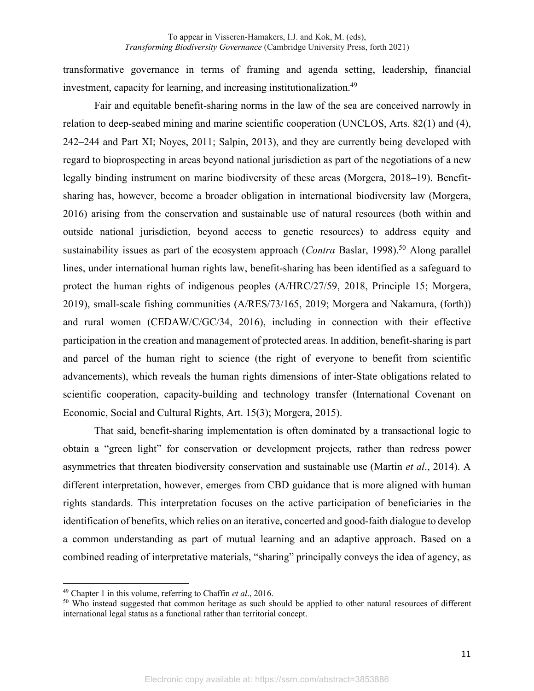transformative governance in terms of framing and agenda setting, leadership, financial investment, capacity for learning, and increasing institutionalization.<sup>49</sup>

Fair and equitable benefit-sharing norms in the law of the sea are conceived narrowly in relation to deep-seabed mining and marine scientific cooperation (UNCLOS, Arts. 82(1) and (4), 242–244 and Part XI; Noyes, 2011; Salpin, 2013), and they are currently being developed with regard to bioprospecting in areas beyond national jurisdiction as part of the negotiations of a new legally binding instrument on marine biodiversity of these areas (Morgera, 2018–19). Benefitsharing has, however, become a broader obligation in international biodiversity law (Morgera, 2016) arising from the conservation and sustainable use of natural resources (both within and outside national jurisdiction, beyond access to genetic resources) to address equity and sustainability issues as part of the ecosystem approach (*Contra Baslar*, 1998).<sup>50</sup> Along parallel lines, under international human rights law, benefit-sharing has been identified as a safeguard to protect the human rights of indigenous peoples (A/HRC/27/59, 2018, Principle 15; Morgera, 2019), small-scale fishing communities (A/RES/73/165, 2019; Morgera and Nakamura, (forth)) and rural women (CEDAW/C/GC/34, 2016), including in connection with their effective participation in the creation and management of protected areas. In addition, benefit-sharing is part and parcel of the human right to science (the right of everyone to benefit from scientific advancements), which reveals the human rights dimensions of inter-State obligations related to scientific cooperation, capacity-building and technology transfer (International Covenant on Economic, Social and Cultural Rights, Art. 15(3); Morgera, 2015).

That said, benefit-sharing implementation is often dominated by a transactional logic to obtain a "green light" for conservation or development projects, rather than redress power asymmetries that threaten biodiversity conservation and sustainable use (Martin *et al*., 2014). A different interpretation, however, emerges from CBD guidance that is more aligned with human rights standards. This interpretation focuses on the active participation of beneficiaries in the identification of benefits, which relies on an iterative, concerted and good-faith dialogue to develop a common understanding as part of mutual learning and an adaptive approach. Based on a combined reading of interpretative materials, "sharing" principally conveys the idea of agency, as

<sup>49</sup> Chapter 1 in this volume, referring to Chaffin *et al*., 2016.

<sup>50</sup> Who instead suggested that common heritage as such should be applied to other natural resources of different international legal status as a functional rather than territorial concept.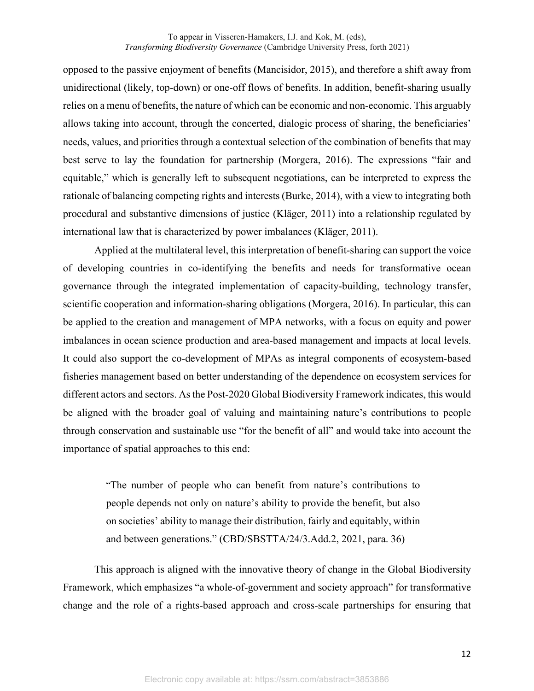opposed to the passive enjoyment of benefits (Mancisidor, 2015), and therefore a shift away from unidirectional (likely, top-down) or one-off flows of benefits. In addition, benefit-sharing usually relies on a menu of benefits, the nature of which can be economic and non-economic. This arguably allows taking into account, through the concerted, dialogic process of sharing, the beneficiaries' needs, values, and priorities through a contextual selection of the combination of benefits that may best serve to lay the foundation for partnership (Morgera, 2016). The expressions "fair and equitable," which is generally left to subsequent negotiations, can be interpreted to express the rationale of balancing competing rights and interests (Burke, 2014), with a view to integrating both procedural and substantive dimensions of justice (Kläger, 2011) into a relationship regulated by international law that is characterized by power imbalances (Kläger, 2011).

Applied at the multilateral level, this interpretation of benefit-sharing can support the voice of developing countries in co-identifying the benefits and needs for transformative ocean governance through the integrated implementation of capacity-building, technology transfer, scientific cooperation and information-sharing obligations (Morgera, 2016). In particular, this can be applied to the creation and management of MPA networks, with a focus on equity and power imbalances in ocean science production and area-based management and impacts at local levels. It could also support the co-development of MPAs as integral components of ecosystem-based fisheries management based on better understanding of the dependence on ecosystem services for different actors and sectors. As the Post-2020 Global Biodiversity Framework indicates, this would be aligned with the broader goal of valuing and maintaining nature's contributions to people through conservation and sustainable use "for the benefit of all" and would take into account the importance of spatial approaches to this end:

> "The number of people who can benefit from nature's contributions to people depends not only on nature's ability to provide the benefit, but also on societies' ability to manage their distribution, fairly and equitably, within and between generations." (CBD/SBSTTA/24/3.Add.2, 2021, para. 36)

This approach is aligned with the innovative theory of change in the Global Biodiversity Framework, which emphasizes "a whole-of-government and society approach" for transformative change and the role of a rights-based approach and cross-scale partnerships for ensuring that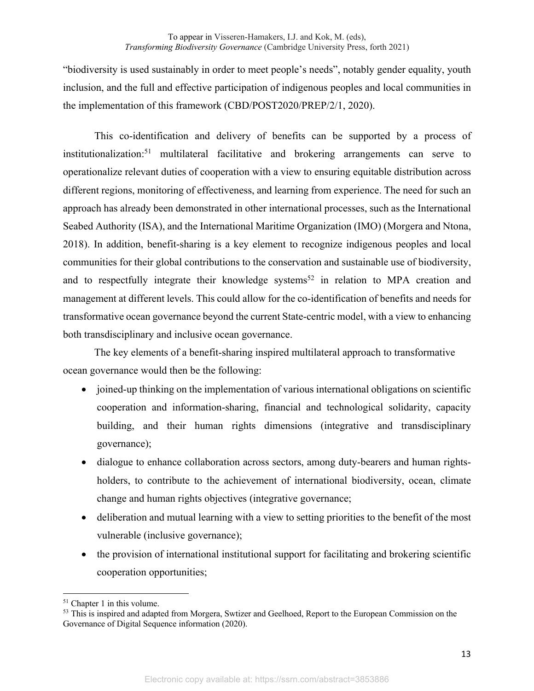"biodiversity is used sustainably in order to meet people's needs", notably gender equality, youth inclusion, and the full and effective participation of indigenous peoples and local communities in the implementation of this framework (CBD/POST2020/PREP/2/1, 2020).

This co-identification and delivery of benefits can be supported by a process of institutionalization:<sup>51</sup> multilateral facilitative and brokering arrangements can serve to operationalize relevant duties of cooperation with a view to ensuring equitable distribution across different regions, monitoring of effectiveness, and learning from experience. The need for such an approach has already been demonstrated in other international processes, such as the International Seabed Authority (ISA), and the International Maritime Organization (IMO) (Morgera and Ntona, 2018). In addition, benefit-sharing is a key element to recognize indigenous peoples and local communities for their global contributions to the conservation and sustainable use of biodiversity, and to respectfully integrate their knowledge systems<sup>52</sup> in relation to MPA creation and management at different levels. This could allow for the co-identification of benefits and needs for transformative ocean governance beyond the current State-centric model, with a view to enhancing both transdisciplinary and inclusive ocean governance.

The key elements of a benefit-sharing inspired multilateral approach to transformative ocean governance would then be the following:

- joined-up thinking on the implementation of various international obligations on scientific cooperation and information-sharing, financial and technological solidarity, capacity building, and their human rights dimensions (integrative and transdisciplinary governance);
- dialogue to enhance collaboration across sectors, among duty-bearers and human rightsholders, to contribute to the achievement of international biodiversity, ocean, climate change and human rights objectives (integrative governance;
- deliberation and mutual learning with a view to setting priorities to the benefit of the most vulnerable (inclusive governance);
- the provision of international institutional support for facilitating and brokering scientific cooperation opportunities;

<sup>51</sup> Chapter 1 in this volume.

<sup>&</sup>lt;sup>53</sup> This is inspired and adapted from Morgera, Swtizer and Geelhoed, Report to the European Commission on the Governance of Digital Sequence information (2020).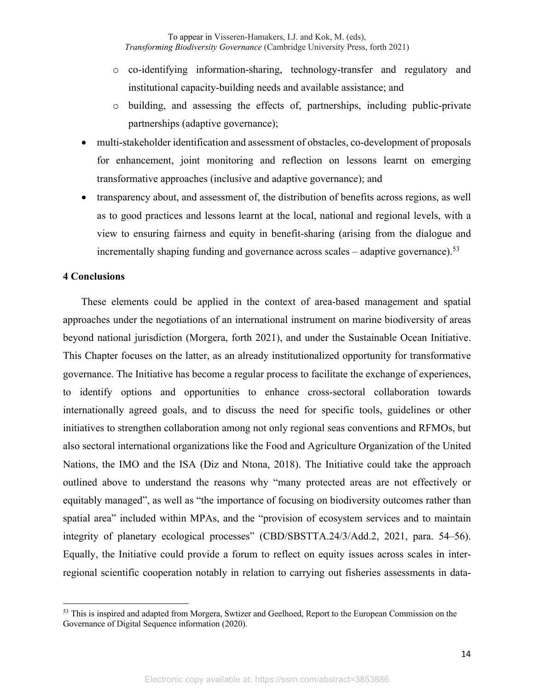- o co-identifying information-sharing, technology-transfer and regulatory and institutional capacity-building needs and available assistance; and
- o building, and assessing the effects of, partnerships, including public-private partnerships (adaptive governance);
- multi-stakeholder identification and assessment of obstacles, co-development of proposals for enhancement, joint monitoring and reflection on lessons learnt on emerging transformative approaches (inclusive and adaptive governance); and
- transparency about, and assessment of, the distribution of benefits across regions, as well as to good practices and lessons learnt at the local, national and regional levels, with a view to ensuring fairness and equity in benefit-sharing (arising from the dialogue and incrementally shaping funding and governance across scales – adaptive governance).<sup>53</sup>

#### **4 Conclusions**

These elements could be applied in the context of area-based management and spatial approaches under the negotiations of an international instrument on marine biodiversity of areas beyond national jurisdiction (Morgera, forth 2021), and under the Sustainable Ocean Initiative. This Chapter focuses on the latter, as an already institutionalized opportunity for transformative governance. The Initiative has become a regular process to facilitate the exchange of experiences, to identify options and opportunities to enhance cross-sectoral collaboration towards internationally agreed goals, and to discuss the need for specific tools, guidelines or other initiatives to strengthen collaboration among not only regional seas conventions and RFMOs, but also sectoral international organizations like the Food and Agriculture Organization of the United Nations, the IMO and the ISA (Diz and Ntona, 2018). The Initiative could take the approach outlined above to understand the reasons why "many protected areas are not effectively or equitably managed", as well as "the importance of focusing on biodiversity outcomes rather than spatial area" included within MPAs, and the "provision of ecosystem services and to maintain integrity of planetary ecological processes" (CBD/SBSTTA.24/3/Add.2, 2021, para. 54–56). Equally, the Initiative could provide a forum to reflect on equity issues across scales in interregional scientific cooperation notably in relation to carrying out fisheries assessments in data-

<sup>&</sup>lt;sup>53</sup> This is inspired and adapted from Morgera, Swtizer and Geelhoed, Report to the European Commission on the Governance of Digital Sequence information (2020).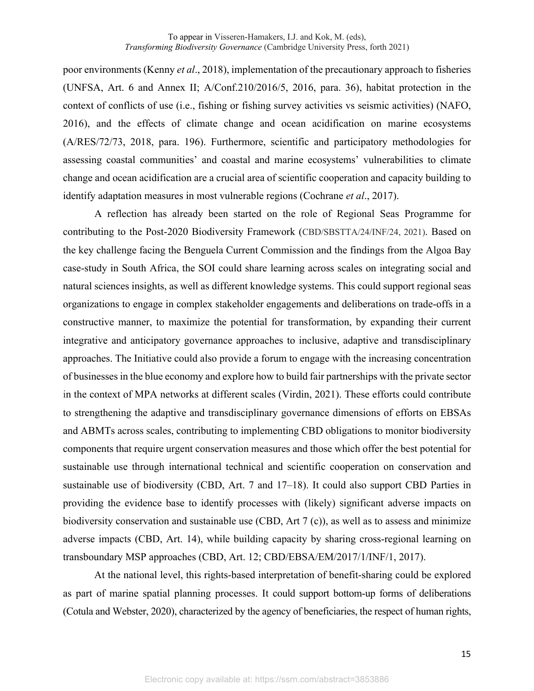poor environments (Kenny *et al*., 2018), implementation of the precautionary approach to fisheries (UNFSA, Art. 6 and Annex II; A/Conf.210/2016/5, 2016, para. 36), habitat protection in the context of conflicts of use (i.e., fishing or fishing survey activities vs seismic activities) (NAFO, 2016), and the effects of climate change and ocean acidification on marine ecosystems (A/RES/72/73, 2018, para. 196). Furthermore, scientific and participatory methodologies for assessing coastal communities' and coastal and marine ecosystems' vulnerabilities to climate change and ocean acidification are a crucial area of scientific cooperation and capacity building to identify adaptation measures in most vulnerable regions (Cochrane *et al*., 2017).

A reflection has already been started on the role of Regional Seas Programme for contributing to the Post-2020 Biodiversity Framework (CBD/SBSTTA/24/INF/24, 2021). Based on the key challenge facing the Benguela Current Commission and the findings from the Algoa Bay case-study in South Africa, the SOI could share learning across scales on integrating social and natural sciences insights, as well as different knowledge systems. This could support regional seas organizations to engage in complex stakeholder engagements and deliberations on trade-offs in a constructive manner, to maximize the potential for transformation, by expanding their current integrative and anticipatory governance approaches to inclusive, adaptive and transdisciplinary approaches. The Initiative could also provide a forum to engage with the increasing concentration of businesses in the blue economy and explore how to build fair partnerships with the private sector in the context of MPA networks at different scales (Virdin, 2021). These efforts could contribute to strengthening the adaptive and transdisciplinary governance dimensions of efforts on EBSAs and ABMTs across scales, contributing to implementing CBD obligations to monitor biodiversity components that require urgent conservation measures and those which offer the best potential for sustainable use through international technical and scientific cooperation on conservation and sustainable use of biodiversity (CBD, Art. 7 and 17–18). It could also support CBD Parties in providing the evidence base to identify processes with (likely) significant adverse impacts on biodiversity conservation and sustainable use (CBD, Art 7 (c)), as well as to assess and minimize adverse impacts (CBD, Art. 14), while building capacity by sharing cross-regional learning on transboundary MSP approaches (CBD, Art. 12; CBD/EBSA/EM/2017/1/INF/1, 2017).

At the national level, this rights-based interpretation of benefit-sharing could be explored as part of marine spatial planning processes. It could support bottom-up forms of deliberations (Cotula and Webster, 2020), characterized by the agency of beneficiaries, the respect of human rights,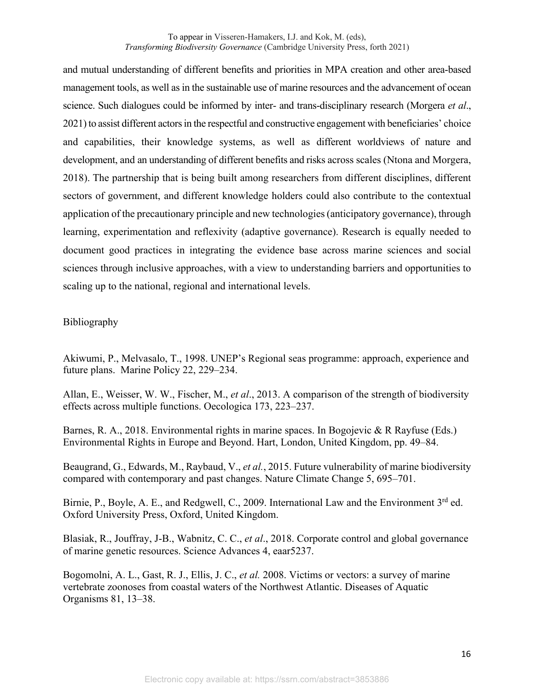and mutual understanding of different benefits and priorities in MPA creation and other area-based management tools, as well as in the sustainable use of marine resources and the advancement of ocean science. Such dialogues could be informed by inter- and trans-disciplinary research (Morgera *et al*., 2021) to assist different actors in the respectful and constructive engagement with beneficiaries' choice and capabilities, their knowledge systems, as well as different worldviews of nature and development, and an understanding of different benefits and risks across scales (Ntona and Morgera, 2018). The partnership that is being built among researchers from different disciplines, different sectors of government, and different knowledge holders could also contribute to the contextual application of the precautionary principle and new technologies (anticipatory governance), through learning, experimentation and reflexivity (adaptive governance). Research is equally needed to document good practices in integrating the evidence base across marine sciences and social sciences through inclusive approaches, with a view to understanding barriers and opportunities to scaling up to the national, regional and international levels.

## Bibliography

Akiwumi, P., Melvasalo, T., 1998. UNEP's Regional seas programme: approach, experience and future plans. Marine Policy 22, 229–234.

Allan, E., Weisser, W. W., Fischer, M., *et al*., 2013. A comparison of the strength of biodiversity effects across multiple functions. Oecologica 173, 223–237.

Barnes, R. A., 2018. Environmental rights in marine spaces. In Bogojevic & R Rayfuse (Eds.) Environmental Rights in Europe and Beyond. Hart, London, United Kingdom, pp. 49–84.

Beaugrand, G., Edwards, M., Raybaud, V., *et al.*, 2015. Future vulnerability of marine biodiversity compared with contemporary and past changes. Nature Climate Change 5, 695–701.

Birnie, P., Boyle, A. E., and Redgwell, C., 2009. International Law and the Environment 3<sup>rd</sup> ed. Oxford University Press, Oxford, United Kingdom.

Blasiak, R., Jouffray, J-B., Wabnitz, C. C., *et al*., 2018. Corporate control and global governance of marine genetic resources. Science Advances 4, eaar5237.

Bogomolni, A. L., Gast, R. J., Ellis, J. C., *et al.* 2008. Victims or vectors: a survey of marine vertebrate zoonoses from coastal waters of the Northwest Atlantic. Diseases of Aquatic Organisms 81, 13–38.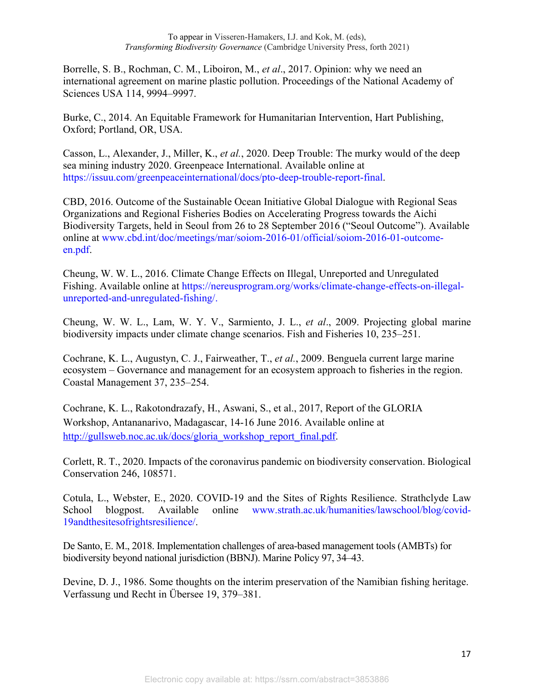Borrelle, S. B., Rochman, C. M., Liboiron, M., *et al*., 2017. Opinion: why we need an international agreement on marine plastic pollution. Proceedings of the National Academy of Sciences USA 114, 9994–9997.

Burke, C., 2014. An Equitable Framework for Humanitarian Intervention, Hart Publishing, Oxford; Portland, OR, USA.

Casson, L., Alexander, J., Miller, K., *et al.*, 2020. Deep Trouble: The murky would of the deep sea mining industry 2020. Greenpeace International. Available online at https://issuu.com/greenpeaceinternational/docs/pto-deep-trouble-report-final.

CBD, 2016. Outcome of the Sustainable Ocean Initiative Global Dialogue with Regional Seas Organizations and Regional Fisheries Bodies on Accelerating Progress towards the Aichi Biodiversity Targets, held in Seoul from 26 to 28 September 2016 ("Seoul Outcome"). Available online at www.cbd.int/doc/meetings/mar/soiom-2016-01/official/soiom-2016-01-outcomeen.pdf.

Cheung, W. W. L., 2016. Climate Change Effects on Illegal, Unreported and Unregulated Fishing. Available online at https://nereusprogram.org/works/climate-change-effects-on-illegalunreported-and-unregulated-fishing/.

Cheung, W. W. L., Lam, W. Y. V., Sarmiento, J. L., *et al*., 2009. Projecting global marine biodiversity impacts under climate change scenarios. Fish and Fisheries 10, 235–251.

Cochrane, K. L., Augustyn, C. J., Fairweather, T., *et al.*, 2009. Benguela current large marine ecosystem – Governance and management for an ecosystem approach to fisheries in the region. Coastal Management 37, 235–254.

Cochrane, K. L., Rakotondrazafy, H., Aswani, S., et al., 2017, Report of the GLORIA Workshop, Antananarivo, Madagascar, 14-16 June 2016. Available online at http://gullsweb.noc.ac.uk/docs/gloria\_workshop\_report\_final.pdf.

Corlett, R. T., 2020. Impacts of the coronavirus pandemic on biodiversity conservation. Biological Conservation 246, 108571.

Cotula, L., Webster, E., 2020. COVID-19 and the Sites of Rights Resilience. Strathclyde Law School blogpost. Available online www.strath.ac.uk/humanities/lawschool/blog/covid-19andthesitesofrightsresilience/.

De Santo, E. M., 2018. Implementation challenges of area-based management tools (AMBTs) for biodiversity beyond national jurisdiction (BBNJ). Marine Policy 97, 34–43.

Devine, D. J., 1986. Some thoughts on the interim preservation of the Namibian fishing heritage. Verfassung und Recht in Übersee 19, 379–381.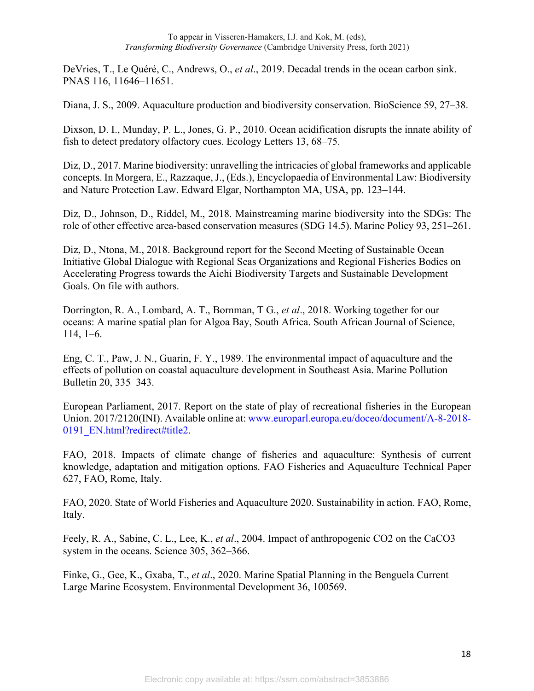DeVries, T., Le Quéré, C., Andrews, O., *et al*., 2019. Decadal trends in the ocean carbon sink. PNAS 116, 11646–11651.

Diana, J. S., 2009. Aquaculture production and biodiversity conservation. BioScience 59, 27–38.

Dixson, D. I., Munday, P. L., Jones, G. P., 2010. Ocean acidification disrupts the innate ability of fish to detect predatory olfactory cues. Ecology Letters 13, 68–75.

Diz, D., 2017. Marine biodiversity: unravelling the intricacies of global frameworks and applicable concepts. In Morgera, E., Razzaque, J., (Eds.), Encyclopaedia of Environmental Law: Biodiversity and Nature Protection Law. Edward Elgar, Northampton MA, USA, pp. 123–144.

Diz, D., Johnson, D., Riddel, M., 2018. Mainstreaming marine biodiversity into the SDGs: The role of other effective area-based conservation measures (SDG 14.5). Marine Policy 93, 251–261.

Diz, D., Ntona, M., 2018. Background report for the Second Meeting of Sustainable Ocean Initiative Global Dialogue with Regional Seas Organizations and Regional Fisheries Bodies on Accelerating Progress towards the Aichi Biodiversity Targets and Sustainable Development Goals. On file with authors.

Dorrington, R. A., Lombard, A. T., Bornman, T G., *et al*., 2018. Working together for our oceans: A marine spatial plan for Algoa Bay, South Africa. South African Journal of Science, 114, 1–6.

Eng, C. T., Paw, J. N., Guarin, F. Y., 1989. The environmental impact of aquaculture and the effects of pollution on coastal aquaculture development in Southeast Asia. Marine Pollution Bulletin 20, 335–343.

European Parliament, 2017. Report on the state of play of recreational fisheries in the European Union. 2017/2120(INI). Available online at: www.europarl.europa.eu/doceo/document/A-8-2018- 0191\_EN.html?redirect#title2.

FAO, 2018. Impacts of climate change of fisheries and aquaculture: Synthesis of current knowledge, adaptation and mitigation options. FAO Fisheries and Aquaculture Technical Paper 627, FAO, Rome, Italy.

FAO, 2020. State of World Fisheries and Aquaculture 2020. Sustainability in action. FAO, Rome, Italy.

Feely, R. A., Sabine, C. L., Lee, K., *et al*., 2004. Impact of anthropogenic CO2 on the CaCO3 system in the oceans. Science 305, 362–366.

Finke, G., Gee, K., Gxaba, T., *et al*., 2020. Marine Spatial Planning in the Benguela Current Large Marine Ecosystem. Environmental Development 36, 100569.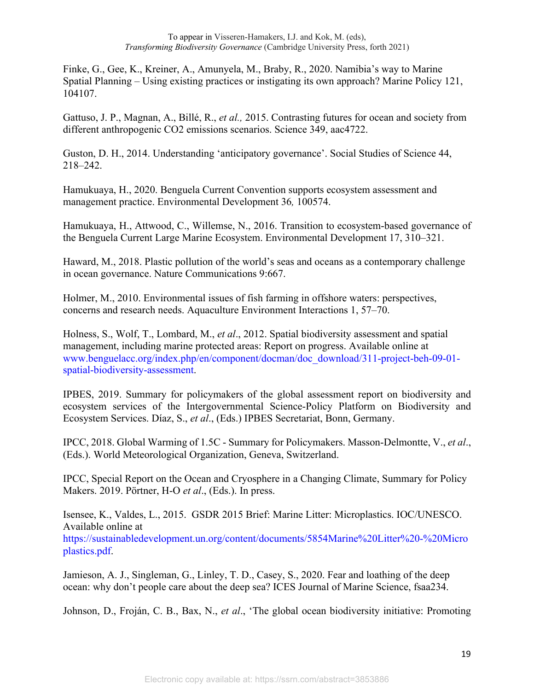Finke, G., Gee, K., Kreiner, A., Amunyela, M., Braby, R., 2020. Namibia's way to Marine Spatial Planning – Using existing practices or instigating its own approach? Marine Policy 121, 104107.

Gattuso, J. P., Magnan, A., Billé, R., *et al.,* 2015. Contrasting futures for ocean and society from different anthropogenic CO2 emissions scenarios. Science 349, aac4722.

Guston, D. H., 2014. Understanding 'anticipatory governance'. Social Studies of Science 44, 218–242.

Hamukuaya, H., 2020. Benguela Current Convention supports ecosystem assessment and management practice. Environmental Development 36*,* 100574.

Hamukuaya, H., Attwood, C., Willemse, N., 2016. Transition to ecosystem-based governance of the Benguela Current Large Marine Ecosystem. Environmental Development 17, 310–321.

Haward, M., 2018. Plastic pollution of the world's seas and oceans as a contemporary challenge in ocean governance. Nature Communications 9:667.

Holmer, M., 2010. Environmental issues of fish farming in offshore waters: perspectives, concerns and research needs. Aquaculture Environment Interactions 1, 57–70.

Holness, S., Wolf, T., Lombard, M., *et al*., 2012. Spatial biodiversity assessment and spatial management, including marine protected areas: Report on progress. Available online at www.benguelacc.org/index.php/en/component/docman/doc\_download/311-project-beh-09-01 spatial-biodiversity-assessment.

IPBES, 2019. Summary for policymakers of the global assessment report on biodiversity and ecosystem services of the Intergovernmental Science-Policy Platform on Biodiversity and Ecosystem Services. Díaz, S., *et al*., (Eds.) IPBES Secretariat, Bonn, Germany.

IPCC, 2018. Global Warming of 1.5C - Summary for Policymakers. Masson-Delmontte, V., *et al*., (Eds.). World Meteorological Organization, Geneva, Switzerland.

IPCC, Special Report on the Ocean and Cryosphere in a Changing Climate, Summary for Policy Makers. 2019. Pörtner, H-O *et al*., (Eds.). In press.

Isensee, K., Valdes, L., 2015. GSDR 2015 Brief: Marine Litter: Microplastics. IOC/UNESCO. Available online at https://sustainabledevelopment.un.org/content/documents/5854Marine%20Litter%20-%20Micro plastics.pdf.

Jamieson, A. J., Singleman, G., Linley, T. D., Casey, S., 2020. Fear and loathing of the deep ocean: why don't people care about the deep sea? ICES Journal of Marine Science, fsaa234.

Johnson, D., Froján, C. B., Bax, N., *et al*., 'The global ocean biodiversity initiative: Promoting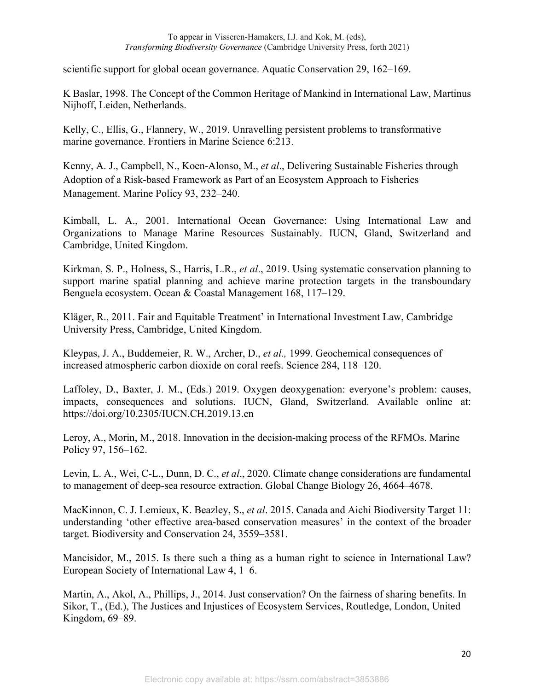scientific support for global ocean governance. Aquatic Conservation 29, 162–169.

K Baslar, 1998. The Concept of the Common Heritage of Mankind in International Law, Martinus Nijhoff, Leiden, Netherlands.

Kelly, C., Ellis, G., Flannery, W., 2019. Unravelling persistent problems to transformative marine governance. Frontiers in Marine Science 6:213.

Kenny, A. J., Campbell, N., Koen-Alonso, M., *et al*., Delivering Sustainable Fisheries through Adoption of a Risk-based Framework as Part of an Ecosystem Approach to Fisheries Management. Marine Policy 93, 232–240.

Kimball, L. A., 2001. International Ocean Governance: Using International Law and Organizations to Manage Marine Resources Sustainably. IUCN, Gland, Switzerland and Cambridge, United Kingdom.

Kirkman, S. P., Holness, S., Harris, L.R., *et al*., 2019. Using systematic conservation planning to support marine spatial planning and achieve marine protection targets in the transboundary Benguela ecosystem. Ocean & Coastal Management 168, 117–129.

Kläger, R., 2011. Fair and Equitable Treatment' in International Investment Law, Cambridge University Press, Cambridge, United Kingdom.

Kleypas, J. A., Buddemeier, R. W., Archer, D., *et al.,* 1999. Geochemical consequences of increased atmospheric carbon dioxide on coral reefs. Science 284, 118–120.

Laffoley, D., Baxter, J. M., (Eds.) 2019. Oxygen deoxygenation: everyone's problem: causes, impacts, consequences and solutions. IUCN, Gland, Switzerland. Available online at: https://doi.org/10.2305/IUCN.CH.2019.13.en

Leroy, A., Morin, M., 2018. Innovation in the decision-making process of the RFMOs. Marine Policy 97, 156–162.

Levin, L. A., Wei, C-L., Dunn, D. C., *et al*., 2020. Climate change considerations are fundamental to management of deep-sea resource extraction. Global Change Biology 26, 4664–4678.

MacKinnon, C. J. Lemieux, K. Beazley, S., *et al*. 2015. Canada and Aichi Biodiversity Target 11: understanding 'other effective area-based conservation measures' in the context of the broader target. Biodiversity and Conservation 24, 3559–3581.

Mancisidor, M., 2015. Is there such a thing as a human right to science in International Law? European Society of International Law 4, 1–6.

Martin, A., Akol, A., Phillips, J., 2014. Just conservation? On the fairness of sharing benefits. In Sikor, T., (Ed.), The Justices and Injustices of Ecosystem Services, Routledge, London, United Kingdom, 69–89.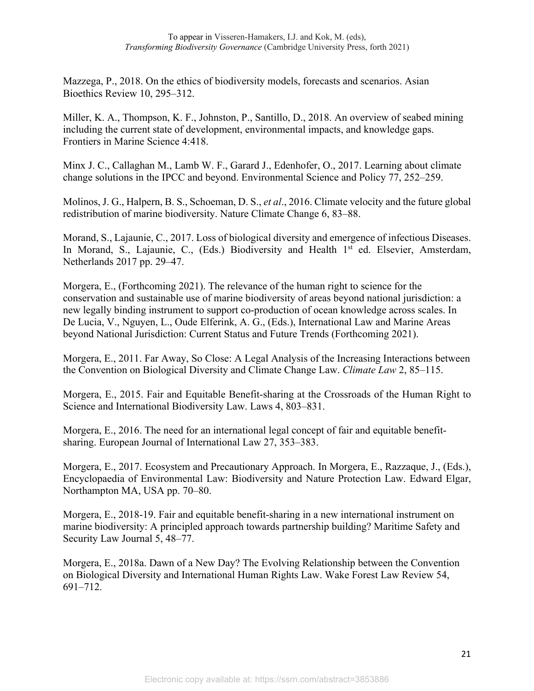Mazzega, P., 2018. On the ethics of biodiversity models, forecasts and scenarios. Asian Bioethics Review 10, 295–312.

Miller, K. A., Thompson, K. F., Johnston, P., Santillo, D., 2018. An overview of seabed mining including the current state of development, environmental impacts, and knowledge gaps. Frontiers in Marine Science 4:418.

Minx J. C., Callaghan M., Lamb W. F., Garard J., Edenhofer, O., 2017. Learning about climate change solutions in the IPCC and beyond. Environmental Science and Policy 77, 252–259.

Molinos, J. G., Halpern, B. S., Schoeman, D. S., *et al*., 2016. Climate velocity and the future global redistribution of marine biodiversity. Nature Climate Change 6, 83–88.

Morand, S., Lajaunie, C., 2017. Loss of biological diversity and emergence of infectious Diseases. In Morand, S., Lajaunie, C., (Eds.) Biodiversity and Health 1<sup>st</sup> ed. Elsevier, Amsterdam, Netherlands 2017 pp. 29–47.

Morgera, E., (Forthcoming 2021). The relevance of the human right to science for the conservation and sustainable use of marine biodiversity of areas beyond national jurisdiction: a new legally binding instrument to support co-production of ocean knowledge across scales. In De Lucia, V., Nguyen, L., Oude Elferink, A. G., (Eds.), International Law and Marine Areas beyond National Jurisdiction: Current Status and Future Trends (Forthcoming 2021).

Morgera, E., 2011. Far Away, So Close: A Legal Analysis of the Increasing Interactions between the Convention on Biological Diversity and Climate Change Law. *Climate Law* 2, 85–115.

Morgera, E., 2015. Fair and Equitable Benefit-sharing at the Crossroads of the Human Right to Science and International Biodiversity Law. Laws 4, 803–831.

Morgera, E., 2016. The need for an international legal concept of fair and equitable benefitsharing. European Journal of International Law 27, 353–383.

Morgera, E., 2017. Ecosystem and Precautionary Approach. In Morgera, E., Razzaque, J., (Eds.), Encyclopaedia of Environmental Law: Biodiversity and Nature Protection Law. Edward Elgar, Northampton MA, USA pp. 70–80.

Morgera, E., 2018-19. Fair and equitable benefit-sharing in a new international instrument on marine biodiversity: A principled approach towards partnership building? Maritime Safety and Security Law Journal 5, 48–77.

Morgera, E., 2018a. Dawn of a New Day? The Evolving Relationship between the Convention on Biological Diversity and International Human Rights Law. Wake Forest Law Review 54, 691–712.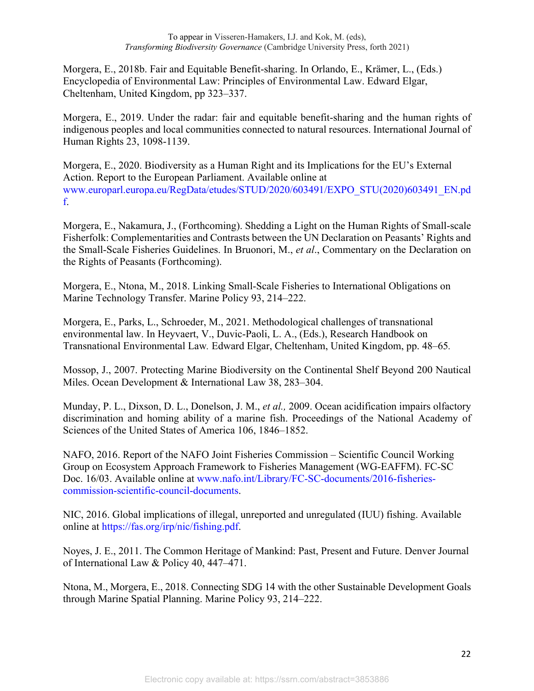Morgera, E., 2018b. Fair and Equitable Benefit-sharing. In Orlando, E., Krämer, L., (Eds.) Encyclopedia of Environmental Law: Principles of Environmental Law. Edward Elgar, Cheltenham, United Kingdom, pp 323–337.

Morgera, E., 2019. Under the radar: fair and equitable benefit-sharing and the human rights of indigenous peoples and local communities connected to natural resources. International Journal of Human Rights 23, 1098-1139.

Morgera, E., 2020. Biodiversity as a Human Right and its Implications for the EU's External Action. Report to the European Parliament. Available online at www.europarl.europa.eu/RegData/etudes/STUD/2020/603491/EXPO\_STU(2020)603491\_EN.pd f.

Morgera, E., Nakamura, J., (Forthcoming). Shedding a Light on the Human Rights of Small-scale Fisherfolk: Complementarities and Contrasts between the UN Declaration on Peasants' Rights and the Small-Scale Fisheries Guidelines. In Bruonori, M., *et al*., Commentary on the Declaration on the Rights of Peasants (Forthcoming).

Morgera, E., Ntona, M., 2018. Linking Small-Scale Fisheries to International Obligations on Marine Technology Transfer. Marine Policy 93, 214–222.

Morgera, E., Parks, L., Schroeder, M., 2021. Methodological challenges of transnational environmental law. In Heyvaert, V., Duvic-Paoli, L. A., (Eds.), Research Handbook on Transnational Environmental Law*.* Edward Elgar, Cheltenham, United Kingdom, pp. 48–65*.* 

Mossop, J., 2007. Protecting Marine Biodiversity on the Continental Shelf Beyond 200 Nautical Miles. Ocean Development & International Law 38, 283–304.

Munday, P. L., Dixson, D. L., Donelson, J. M., *et al.,* 2009. Ocean acidification impairs olfactory discrimination and homing ability of a marine fish. Proceedings of the National Academy of Sciences of the United States of America 106, 1846–1852.

NAFO, 2016. Report of the NAFO Joint Fisheries Commission – Scientific Council Working Group on Ecosystem Approach Framework to Fisheries Management (WG-EAFFM). FC-SC Doc. 16/03. Available online at www.nafo.int/Library/FC-SC-documents/2016-fisheriescommission-scientific-council-documents.

NIC, 2016. Global implications of illegal, unreported and unregulated (IUU) fishing. Available online at https://fas.org/irp/nic/fishing.pdf.

Noyes, J. E., 2011. The Common Heritage of Mankind: Past, Present and Future. Denver Journal of International Law & Policy 40, 447–471.

Ntona, M., Morgera, E., 2018. Connecting SDG 14 with the other Sustainable Development Goals through Marine Spatial Planning. Marine Policy 93, 214–222.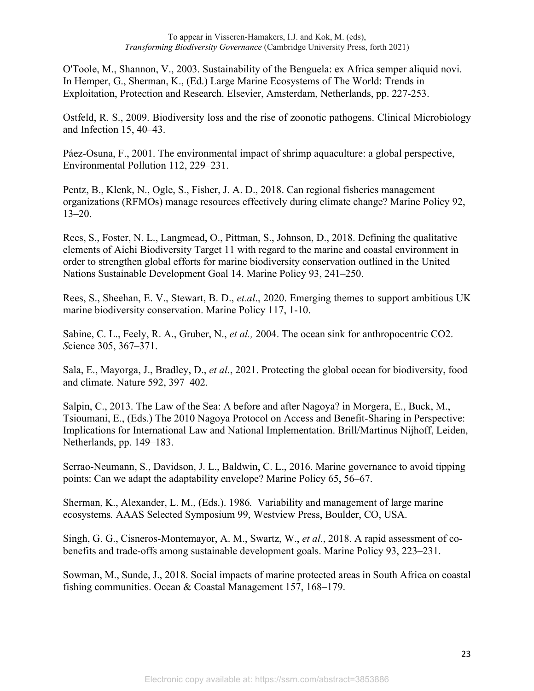O'Toole, M., Shannon, V., 2003. Sustainability of the Benguela: ex Africa semper aliquid novi. In Hemper, G., Sherman, K., (Ed.) Large Marine Ecosystems of The World: Trends in Exploitation, Protection and Research. Elsevier, Amsterdam, Netherlands, pp. 227-253.

Ostfeld, R. S., 2009. Biodiversity loss and the rise of zoonotic pathogens. Clinical Microbiology and Infection 15, 40–43.

Páez-Osuna, F., 2001. The environmental impact of shrimp aquaculture: a global perspective, Environmental Pollution 112, 229–231.

Pentz, B., Klenk, N., Ogle, S., Fisher, J. A. D., 2018. Can regional fisheries management organizations (RFMOs) manage resources effectively during climate change? Marine Policy 92, 13–20.

Rees, S., Foster, N. L., Langmead, O., Pittman, S., Johnson, D., 2018. Defining the qualitative elements of Aichi Biodiversity Target 11 with regard to the marine and coastal environment in order to strengthen global efforts for marine biodiversity conservation outlined in the United Nations Sustainable Development Goal 14. Marine Policy 93, 241–250.

Rees, S., Sheehan, E. V., Stewart, B. D., *et.al*., 2020. Emerging themes to support ambitious UK marine biodiversity conservation. Marine Policy 117, 1-10.

Sabine, C. L., Feely, R. A., Gruber, N., *et al.,* 2004. The ocean sink for anthropocentric CO2. *S*cience 305, 367–371.

Sala, E., Mayorga, J., Bradley, D., *et al*., 2021. Protecting the global ocean for biodiversity, food and climate. Nature 592, 397–402.

Salpin, C., 2013. The Law of the Sea: A before and after Nagoya? in Morgera, E., Buck, M., Tsioumani, E., (Eds.) The 2010 Nagoya Protocol on Access and Benefit-Sharing in Perspective: Implications for International Law and National Implementation. Brill/Martinus Nijhoff, Leiden, Netherlands, pp. 149–183.

Serrao-Neumann, S., Davidson, J. L., Baldwin, C. L., 2016. Marine governance to avoid tipping points: Can we adapt the adaptability envelope? Marine Policy 65, 56–67.

Sherman, K., Alexander, L. M., (Eds.). 1986*.* Variability and management of large marine ecosystems*.* AAAS Selected Symposium 99, Westview Press, Boulder, CO, USA.

Singh, G. G., Cisneros-Montemayor, A. M., Swartz, W., *et al*., 2018. A rapid assessment of cobenefits and trade-offs among sustainable development goals. Marine Policy 93, 223–231.

Sowman, M., Sunde, J., 2018. Social impacts of marine protected areas in South Africa on coastal fishing communities. Ocean & Coastal Management 157, 168–179.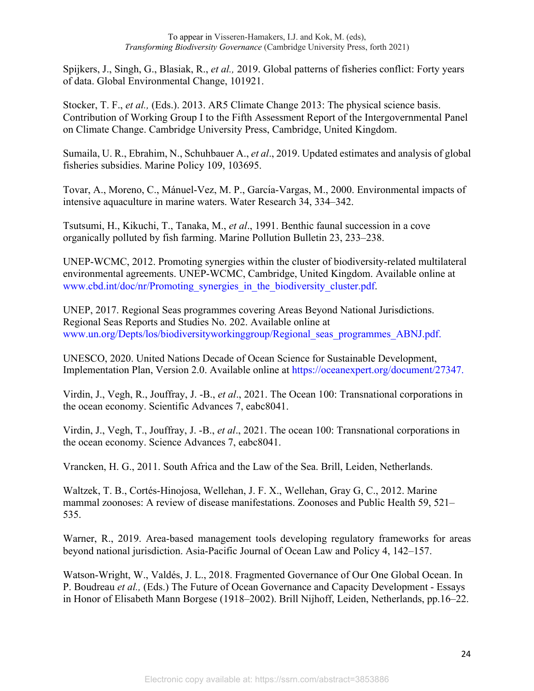Spijkers, J., Singh, G., Blasiak, R., *et al.,* 2019. Global patterns of fisheries conflict: Forty years of data. Global Environmental Change, 101921.

Stocker, T. F., *et al.,* (Eds.). 2013. AR5 Climate Change 2013: The physical science basis. Contribution of Working Group I to the Fifth Assessment Report of the Intergovernmental Panel on Climate Change. Cambridge University Press, Cambridge, United Kingdom.

Sumaila, U. R., Ebrahim, N., Schuhbauer A., *et al*., 2019. Updated estimates and analysis of global fisheries subsidies. Marine Policy 109, 103695.

Tovar, A., Moreno, C., Mánuel-Vez, M. P., García-Vargas, M., 2000. Environmental impacts of intensive aquaculture in marine waters. Water Research 34, 334–342.

Tsutsumi, H., Kikuchi, T., Tanaka, M., *et al*., 1991. Benthic faunal succession in a cove organically polluted by fish farming. Marine Pollution Bulletin 23, 233–238.

UNEP-WCMC, 2012. Promoting synergies within the cluster of biodiversity-related multilateral environmental agreements. UNEP-WCMC, Cambridge, United Kingdom. Available online at www.cbd.int/doc/nr/Promoting\_synergies\_in\_the\_biodiversity\_cluster.pdf.

UNEP, 2017. Regional Seas programmes covering Areas Beyond National Jurisdictions. Regional Seas Reports and Studies No. 202. Available online at www.un.org/Depts/los/biodiversityworkinggroup/Regional\_seas\_programmes\_ABNJ.pdf.

UNESCO, 2020. United Nations Decade of Ocean Science for Sustainable Development, Implementation Plan, Version 2.0. Available online at https://oceanexpert.org/document/27347.

Virdin, J., Vegh, R., Jouffray, J. -B., *et al*., 2021. The Ocean 100: Transnational corporations in the ocean economy. Scientific Advances 7, eabc8041.

Virdin, J., Vegh, T., Jouffray, J. -B., *et al*., 2021. The ocean 100: Transnational corporations in the ocean economy. Science Advances 7, eabc8041.

Vrancken, H. G., 2011. South Africa and the Law of the Sea. Brill, Leiden, Netherlands.

Waltzek, T. B., Cortés-Hinojosa, Wellehan, J. F. X., Wellehan, Gray G, C., 2012. Marine mammal zoonoses: A review of disease manifestations. Zoonoses and Public Health 59, 521– 535.

Warner, R., 2019. Area-based management tools developing regulatory frameworks for areas beyond national jurisdiction. Asia-Pacific Journal of Ocean Law and Policy 4, 142–157.

Watson-Wright, W., Valdés, J. L., 2018. Fragmented Governance of Our One Global Ocean. In P. Boudreau *et al.,* (Eds.) The Future of Ocean Governance and Capacity Development - Essays in Honor of Elisabeth Mann Borgese (1918–2002). Brill Nijhoff, Leiden, Netherlands, pp.16–22.